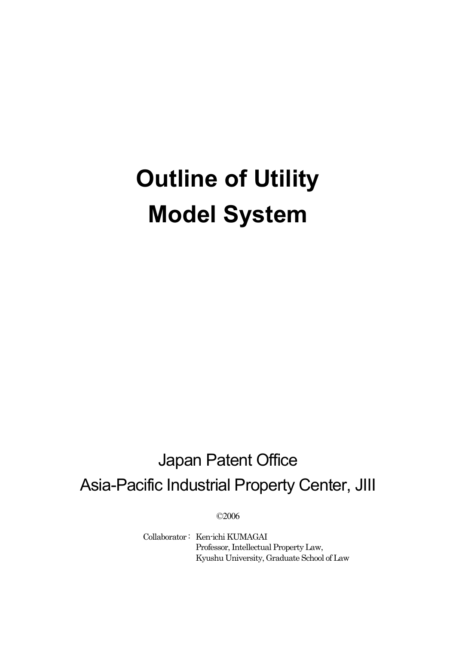# **Outline of Utility Model System**

# Japan Patent Office Asia-Pacific Industrial Property Center, JIII

©2006

Collaborator : Ken-ichi KUMAGAI Professor, Intellectual Property Law, Kyushu University, Graduate School of Law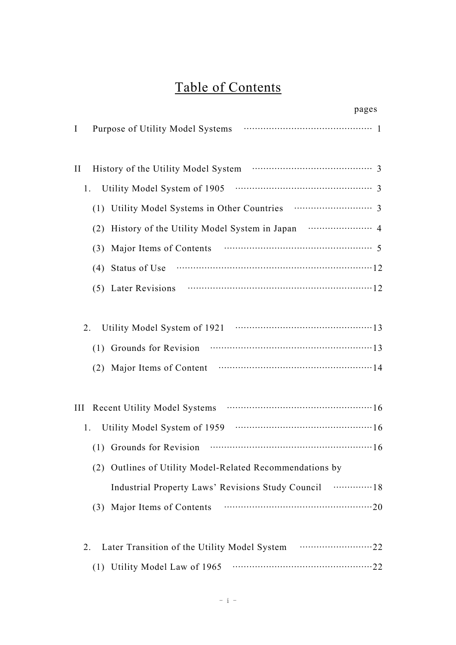# Table of Contents

| pages                                                    |
|----------------------------------------------------------|
| Purpose of Utility Model Systems<br>I                    |
| $\rm II$                                                 |
| Utility Model System of 1905<br>1.                       |
| (1)                                                      |
| (2)                                                      |
| (3)                                                      |
| Status of Use<br>(4)                                     |
| (5) Later Revisions $\cdots$ 12                          |
|                                                          |
| 2.                                                       |
| Grounds for Revision<br>(1)                              |
| (2)                                                      |
|                                                          |
| Ш                                                        |
| 1.                                                       |
|                                                          |
| (2) Outlines of Utility Model-Related Recommendations by |
| Industrial Property Laws' Revisions Study Council  18    |
| (3) Major Items of Contents                              |
|                                                          |
| 2.                                                       |
| (1) Utility Model Law of 1965                            |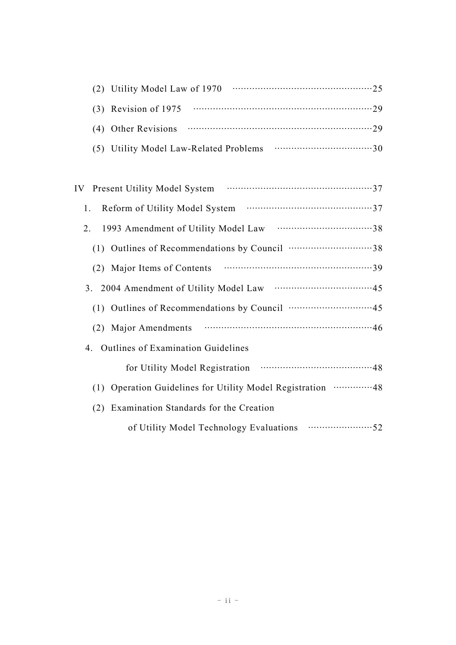| (2) Utility Model Law of 1970          |  |
|----------------------------------------|--|
| $(3)$ Revision of 1975                 |  |
|                                        |  |
| (5) Utility Model Law-Related Problems |  |

| IV Present Utility Model System                             |
|-------------------------------------------------------------|
| 1.                                                          |
| 2.                                                          |
|                                                             |
|                                                             |
|                                                             |
|                                                             |
|                                                             |
| 4. Outlines of Examination Guidelines                       |
|                                                             |
| (1) Operation Guidelines for Utility Model Registration  48 |
| (2) Examination Standards for the Creation                  |
|                                                             |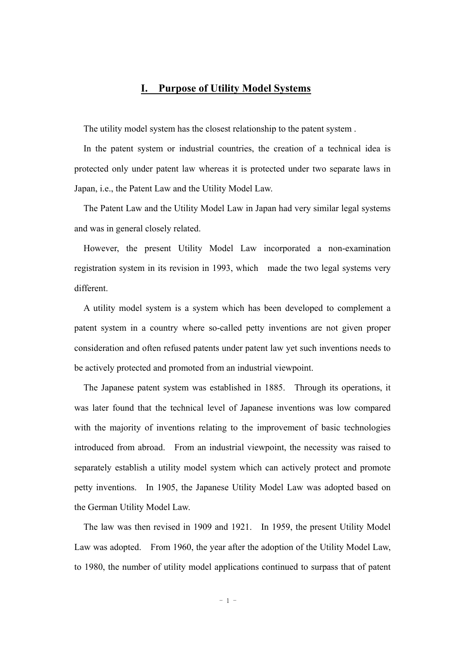#### **I. Purpose of Utility Model Systems**

The utility model system has the closest relationship to the patent system .

In the patent system or industrial countries, the creation of a technical idea is protected only under patent law whereas it is protected under two separate laws in Japan, i.e., the Patent Law and the Utility Model Law.

The Patent Law and the Utility Model Law in Japan had very similar legal systems and was in general closely related.

However, the present Utility Model Law incorporated a non-examination registration system in its revision in 1993, which made the two legal systems very different.

A utility model system is a system which has been developed to complement a patent system in a country where so-called petty inventions are not given proper consideration and often refused patents under patent law yet such inventions needs to be actively protected and promoted from an industrial viewpoint.

The Japanese patent system was established in 1885. Through its operations, it was later found that the technical level of Japanese inventions was low compared with the majority of inventions relating to the improvement of basic technologies introduced from abroad. From an industrial viewpoint, the necessity was raised to separately establish a utility model system which can actively protect and promote petty inventions. In 1905, the Japanese Utility Model Law was adopted based on the German Utility Model Law.

The law was then revised in 1909 and 1921. In 1959, the present Utility Model Law was adopted. From 1960, the year after the adoption of the Utility Model Law, to 1980, the number of utility model applications continued to surpass that of patent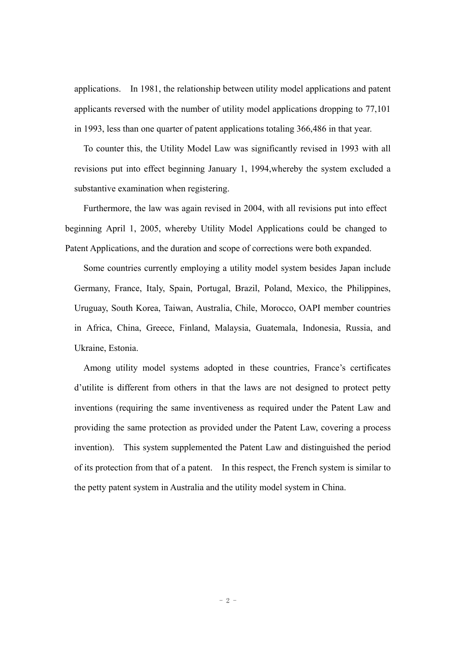applications. In 1981, the relationship between utility model applications and patent applicants reversed with the number of utility model applications dropping to 77,101 in 1993, less than one quarter of patent applications totaling 366,486 in that year.

To counter this, the Utility Model Law was significantly revised in 1993 with all revisions put into effect beginning January 1, 1994,whereby the system excluded a substantive examination when registering.

Furthermore, the law was again revised in 2004, with all revisions put into effect beginning April 1, 2005, whereby Utility Model Applications could be changed to Patent Applications, and the duration and scope of corrections were both expanded.

Some countries currently employing a utility model system besides Japan include Germany, France, Italy, Spain, Portugal, Brazil, Poland, Mexico, the Philippines, Uruguay, South Korea, Taiwan, Australia, Chile, Morocco, OAPI member countries in Africa, China, Greece, Finland, Malaysia, Guatemala, Indonesia, Russia, and Ukraine, Estonia.

Among utility model systems adopted in these countries, France's certificates d'utilite is different from others in that the laws are not designed to protect petty inventions (requiring the same inventiveness as required under the Patent Law and providing the same protection as provided under the Patent Law, covering a process invention). This system supplemented the Patent Law and distinguished the period of its protection from that of a patent. In this respect, the French system is similar to the petty patent system in Australia and the utility model system in China.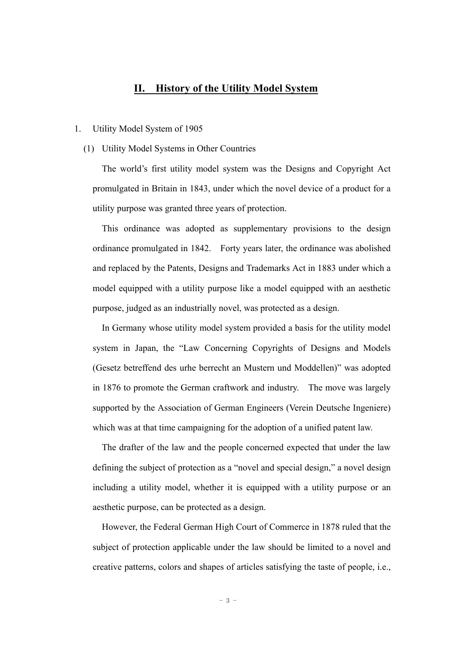#### **II. History of the Utility Model System**

#### 1. Utility Model System of 1905

#### (1) Utility Model Systems in Other Countries

The world's first utility model system was the Designs and Copyright Act promulgated in Britain in 1843, under which the novel device of a product for a utility purpose was granted three years of protection.

This ordinance was adopted as supplementary provisions to the design ordinance promulgated in 1842. Forty years later, the ordinance was abolished and replaced by the Patents, Designs and Trademarks Act in 1883 under which a model equipped with a utility purpose like a model equipped with an aesthetic purpose, judged as an industrially novel, was protected as a design.

In Germany whose utility model system provided a basis for the utility model system in Japan, the "Law Concerning Copyrights of Designs and Models (Gesetz betreffend des urhe berrecht an Mustern und Moddellen)" was adopted in 1876 to promote the German craftwork and industry. The move was largely supported by the Association of German Engineers (Verein Deutsche Ingeniere) which was at that time campaigning for the adoption of a unified patent law.

The drafter of the law and the people concerned expected that under the law defining the subject of protection as a "novel and special design," a novel design including a utility model, whether it is equipped with a utility purpose or an aesthetic purpose, can be protected as a design.

However, the Federal German High Court of Commerce in 1878 ruled that the subject of protection applicable under the law should be limited to a novel and creative patterns, colors and shapes of articles satisfying the taste of people, i.e.,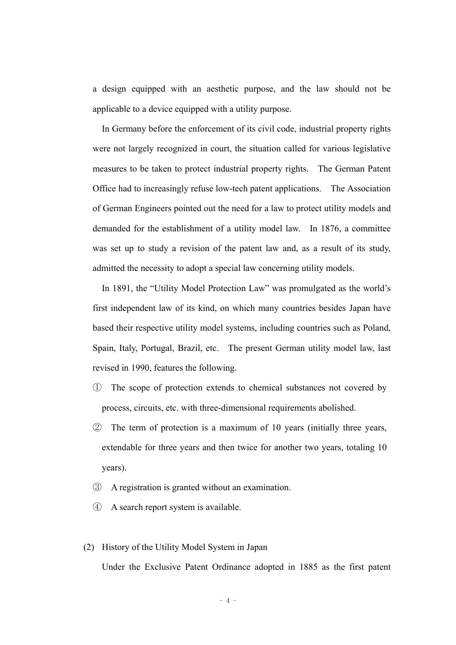a design equipped with an aesthetic purpose, and the law should not be applicable to a device equipped with a utility purpose.

In Germany before the enforcement of its civil code, industrial property rights were not largely recognized in court, the situation called for various legislative measures to be taken to protect industrial property rights. The German Patent Office had to increasingly refuse low-tech patent applications. The Association of German Engineers pointed out the need for a law to protect utility models and demanded for the establishment of a utility model law. In 1876, a committee was set up to study a revision of the patent law and, as a result of its study, admitted the necessity to adopt a special law concerning utility models.

In 1891, the "Utility Model Protection Law" was promulgated as the world's first independent law of its kind, on which many countries besides Japan have based their respective utility model systems, including countries such as Poland, Spain, Italy, Portugal, Brazil, etc. The present German utility model law, last revised in 1990, features the following.

- ① The scope of protection extends to chemical substances not covered by process, circuits, etc. with three-dimensional requirements abolished.
- ② The term of protection is a maximum of 10 years (initially three years, extendable for three years and then twice for another two years, totaling 10 years).
- ③ A registration is granted without an examination.
- ④ A search report system is available.
- (2) History of the Utility Model System in Japan

Under the Exclusive Patent Ordinance adopted in 1885 as the first patent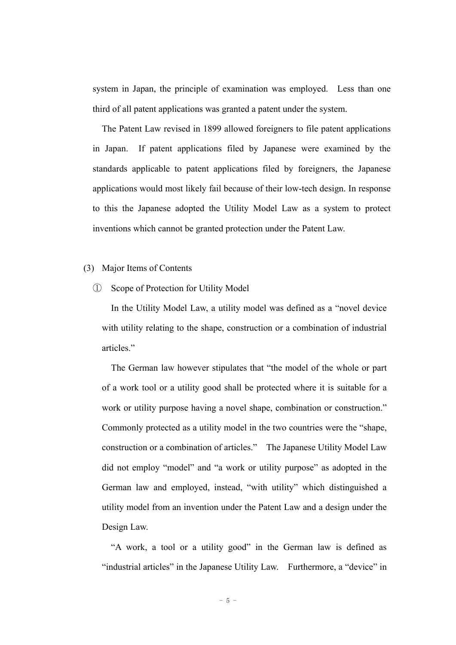system in Japan, the principle of examination was employed. Less than one third of all patent applications was granted a patent under the system.

The Patent Law revised in 1899 allowed foreigners to file patent applications in Japan. If patent applications filed by Japanese were examined by the standards applicable to patent applications filed by foreigners, the Japanese applications would most likely fail because of their low-tech design. In response to this the Japanese adopted the Utility Model Law as a system to protect inventions which cannot be granted protection under the Patent Law.

#### (3) Major Items of Contents

① Scope of Protection for Utility Model

In the Utility Model Law, a utility model was defined as a "novel device with utility relating to the shape, construction or a combination of industrial articles."

The German law however stipulates that "the model of the whole or part of a work tool or a utility good shall be protected where it is suitable for a work or utility purpose having a novel shape, combination or construction." Commonly protected as a utility model in the two countries were the "shape, construction or a combination of articles." The Japanese Utility Model Law did not employ "model" and "a work or utility purpose" as adopted in the German law and employed, instead, "with utility" which distinguished a utility model from an invention under the Patent Law and a design under the Design Law.

"A work, a tool or a utility good" in the German law is defined as "industrial articles" in the Japanese Utility Law. Furthermore, a "device" in

 $-5 -$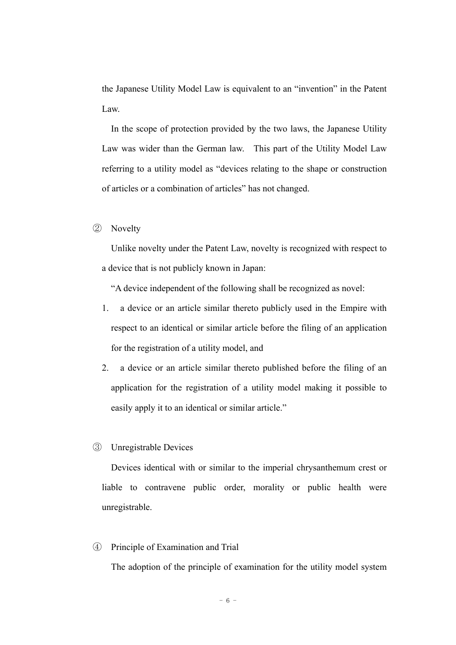the Japanese Utility Model Law is equivalent to an "invention" in the Patent Law.

In the scope of protection provided by the two laws, the Japanese Utility Law was wider than the German law. This part of the Utility Model Law referring to a utility model as "devices relating to the shape or construction of articles or a combination of articles" has not changed.

② Novelty

Unlike novelty under the Patent Law, novelty is recognized with respect to a device that is not publicly known in Japan:

"A device independent of the following shall be recognized as novel:

- 1. a device or an article similar thereto publicly used in the Empire with respect to an identical or similar article before the filing of an application for the registration of a utility model, and
- 2. a device or an article similar thereto published before the filing of an application for the registration of a utility model making it possible to easily apply it to an identical or similar article."
- ③ Unregistrable Devices

Devices identical with or similar to the imperial chrysanthemum crest or liable to contravene public order, morality or public health were unregistrable.

④ Principle of Examination and Trial

The adoption of the principle of examination for the utility model system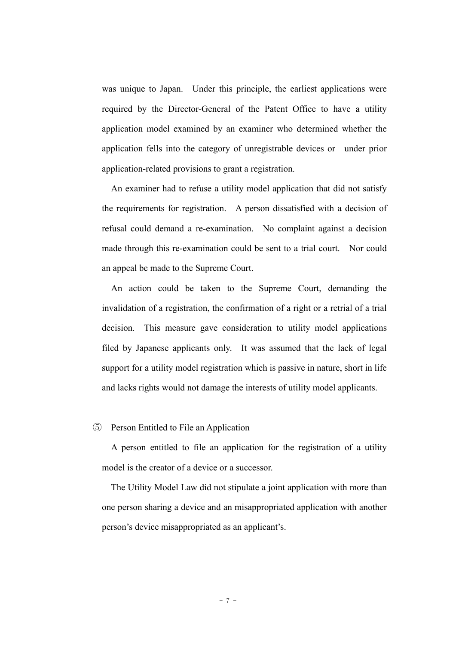was unique to Japan. Under this principle, the earliest applications were required by the Director-General of the Patent Office to have a utility application model examined by an examiner who determined whether the application fells into the category of unregistrable devices or under prior application-related provisions to grant a registration.

An examiner had to refuse a utility model application that did not satisfy the requirements for registration. A person dissatisfied with a decision of refusal could demand a re-examination. No complaint against a decision made through this re-examination could be sent to a trial court. Nor could an appeal be made to the Supreme Court.

An action could be taken to the Supreme Court, demanding the invalidation of a registration, the confirmation of a right or a retrial of a trial decision. This measure gave consideration to utility model applications filed by Japanese applicants only. It was assumed that the lack of legal support for a utility model registration which is passive in nature, short in life and lacks rights would not damage the interests of utility model applicants.

#### ⑤ Person Entitled to File an Application

A person entitled to file an application for the registration of a utility model is the creator of a device or a successor.

The Utility Model Law did not stipulate a joint application with more than one person sharing a device and an misappropriated application with another person's device misappropriated as an applicant's.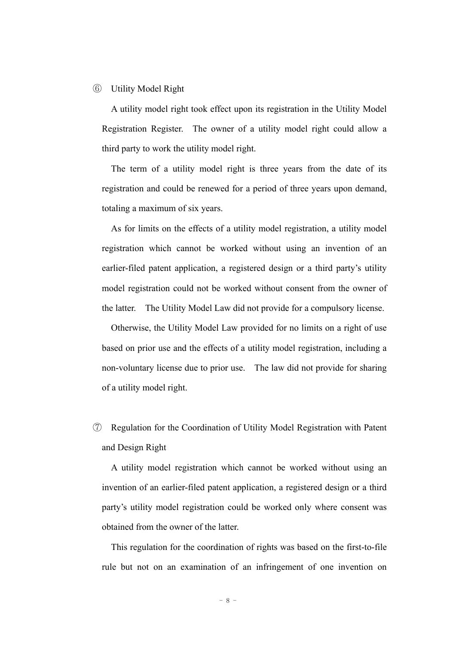#### ⑥ Utility Model Right

A utility model right took effect upon its registration in the Utility Model Registration Register. The owner of a utility model right could allow a third party to work the utility model right.

The term of a utility model right is three years from the date of its registration and could be renewed for a period of three years upon demand, totaling a maximum of six years.

As for limits on the effects of a utility model registration, a utility model registration which cannot be worked without using an invention of an earlier-filed patent application, a registered design or a third party's utility model registration could not be worked without consent from the owner of the latter. The Utility Model Law did not provide for a compulsory license.

Otherwise, the Utility Model Law provided for no limits on a right of use based on prior use and the effects of a utility model registration, including a non-voluntary license due to prior use. The law did not provide for sharing of a utility model right.

⑦ Regulation for the Coordination of Utility Model Registration with Patent and Design Right

A utility model registration which cannot be worked without using an invention of an earlier-filed patent application, a registered design or a third party's utility model registration could be worked only where consent was obtained from the owner of the latter.

This regulation for the coordination of rights was based on the first-to-file rule but not on an examination of an infringement of one invention on

 $- 8 -$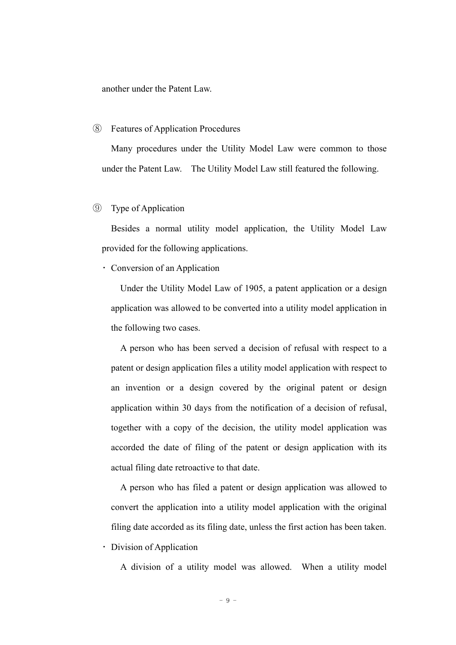another under the Patent Law.

#### ⑧ Features of Application Procedures

Many procedures under the Utility Model Law were common to those under the Patent Law. The Utility Model Law still featured the following.

#### ⑨ Type of Application

Besides a normal utility model application, the Utility Model Law provided for the following applications.

・ Conversion of an Application

Under the Utility Model Law of 1905, a patent application or a design application was allowed to be converted into a utility model application in the following two cases.

A person who has been served a decision of refusal with respect to a patent or design application files a utility model application with respect to an invention or a design covered by the original patent or design application within 30 days from the notification of a decision of refusal, together with a copy of the decision, the utility model application was accorded the date of filing of the patent or design application with its actual filing date retroactive to that date.

A person who has filed a patent or design application was allowed to convert the application into a utility model application with the original filing date accorded as its filing date, unless the first action has been taken.

・ Division of Application

A division of a utility model was allowed. When a utility model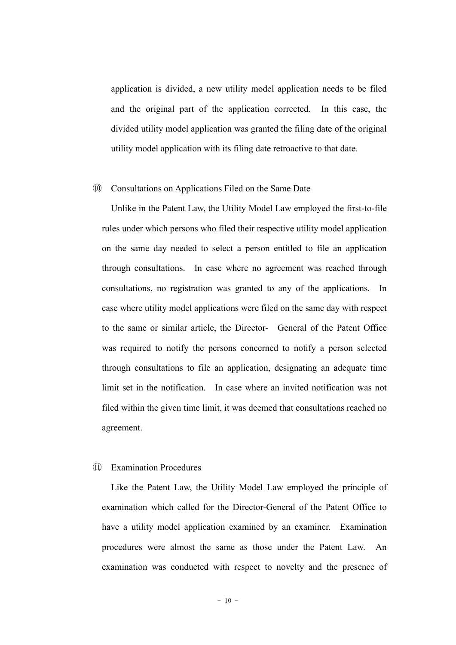application is divided, a new utility model application needs to be filed and the original part of the application corrected. In this case, the divided utility model application was granted the filing date of the original utility model application with its filing date retroactive to that date.

#### ⑩ Consultations on Applications Filed on the Same Date

Unlike in the Patent Law, the Utility Model Law employed the first-to-file rules under which persons who filed their respective utility model application on the same day needed to select a person entitled to file an application through consultations. In case where no agreement was reached through consultations, no registration was granted to any of the applications. In case where utility model applications were filed on the same day with respect to the same or similar article, the Director- General of the Patent Office was required to notify the persons concerned to notify a person selected through consultations to file an application, designating an adequate time limit set in the notification. In case where an invited notification was not filed within the given time limit, it was deemed that consultations reached no agreement.

#### ⑪ Examination Procedures

Like the Patent Law, the Utility Model Law employed the principle of examination which called for the Director-General of the Patent Office to have a utility model application examined by an examiner. Examination procedures were almost the same as those under the Patent Law. An examination was conducted with respect to novelty and the presence of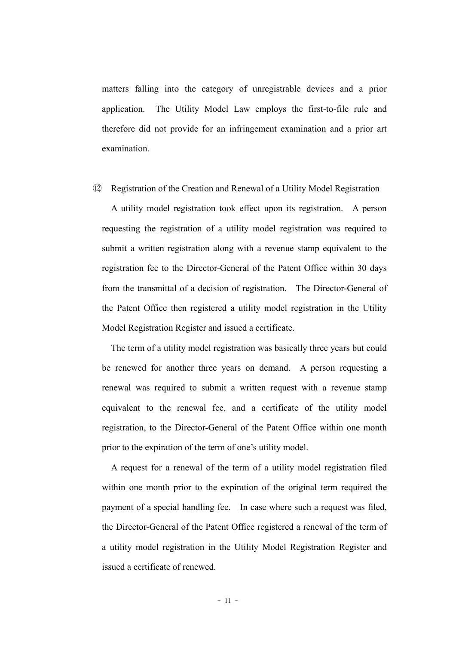matters falling into the category of unregistrable devices and a prior application. The Utility Model Law employs the first-to-file rule and therefore did not provide for an infringement examination and a prior art examination.

⑫ Registration of the Creation and Renewal of a Utility Model Registration

A utility model registration took effect upon its registration. A person requesting the registration of a utility model registration was required to submit a written registration along with a revenue stamp equivalent to the registration fee to the Director-General of the Patent Office within 30 days from the transmittal of a decision of registration. The Director-General of the Patent Office then registered a utility model registration in the Utility Model Registration Register and issued a certificate.

The term of a utility model registration was basically three years but could be renewed for another three years on demand. A person requesting a renewal was required to submit a written request with a revenue stamp equivalent to the renewal fee, and a certificate of the utility model registration, to the Director-General of the Patent Office within one month prior to the expiration of the term of one's utility model.

A request for a renewal of the term of a utility model registration filed within one month prior to the expiration of the original term required the payment of a special handling fee. In case where such a request was filed, the Director-General of the Patent Office registered a renewal of the term of a utility model registration in the Utility Model Registration Register and issued a certificate of renewed.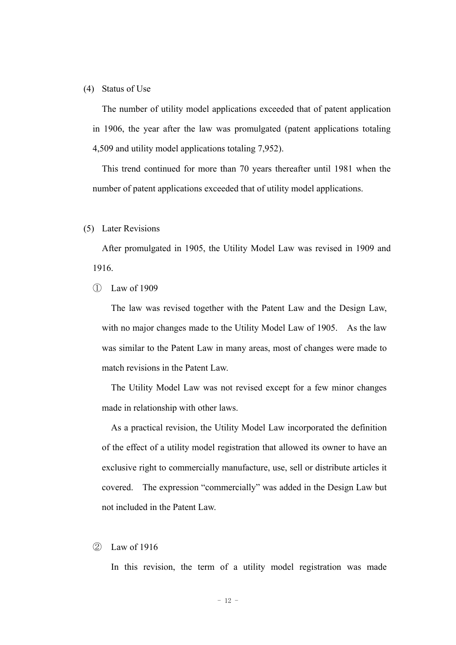#### (4) Status of Use

The number of utility model applications exceeded that of patent application in 1906, the year after the law was promulgated (patent applications totaling 4,509 and utility model applications totaling 7,952).

This trend continued for more than 70 years thereafter until 1981 when the number of patent applications exceeded that of utility model applications.

#### (5) Later Revisions

After promulgated in 1905, the Utility Model Law was revised in 1909 and 1916.

#### ① Law of 1909

The law was revised together with the Patent Law and the Design Law, with no major changes made to the Utility Model Law of 1905. As the law was similar to the Patent Law in many areas, most of changes were made to match revisions in the Patent Law.

The Utility Model Law was not revised except for a few minor changes made in relationship with other laws.

As a practical revision, the Utility Model Law incorporated the definition of the effect of a utility model registration that allowed its owner to have an exclusive right to commercially manufacture, use, sell or distribute articles it covered. The expression "commercially" was added in the Design Law but not included in the Patent Law.

#### ② Law of 1916

In this revision, the term of a utility model registration was made

 $- 12 -$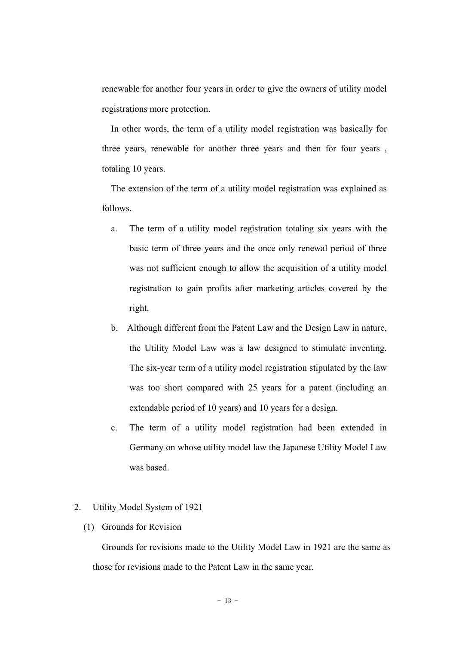renewable for another four years in order to give the owners of utility model registrations more protection.

In other words, the term of a utility model registration was basically for three years, renewable for another three years and then for four years , totaling 10 years.

The extension of the term of a utility model registration was explained as follows.

- a. The term of a utility model registration totaling six years with the basic term of three years and the once only renewal period of three was not sufficient enough to allow the acquisition of a utility model registration to gain profits after marketing articles covered by the right.
- b. Although different from the Patent Law and the Design Law in nature, the Utility Model Law was a law designed to stimulate inventing. The six-year term of a utility model registration stipulated by the law was too short compared with 25 years for a patent (including an extendable period of 10 years) and 10 years for a design.
- c. The term of a utility model registration had been extended in Germany on whose utility model law the Japanese Utility Model Law was based.

#### 2. Utility Model System of 1921

(1) Grounds for Revision

Grounds for revisions made to the Utility Model Law in 1921 are the same as those for revisions made to the Patent Law in the same year.

 $- 13 -$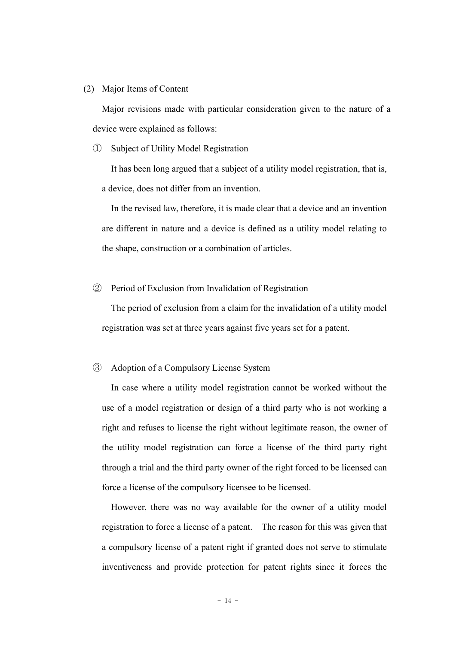#### (2) Major Items of Content

Major revisions made with particular consideration given to the nature of a device were explained as follows:

① Subject of Utility Model Registration

It has been long argued that a subject of a utility model registration, that is, a device, does not differ from an invention.

In the revised law, therefore, it is made clear that a device and an invention are different in nature and a device is defined as a utility model relating to the shape, construction or a combination of articles.

② Period of Exclusion from Invalidation of Registration

The period of exclusion from a claim for the invalidation of a utility model registration was set at three years against five years set for a patent.

#### ③ Adoption of a Compulsory License System

In case where a utility model registration cannot be worked without the use of a model registration or design of a third party who is not working a right and refuses to license the right without legitimate reason, the owner of the utility model registration can force a license of the third party right through a trial and the third party owner of the right forced to be licensed can force a license of the compulsory licensee to be licensed.

However, there was no way available for the owner of a utility model registration to force a license of a patent. The reason for this was given that a compulsory license of a patent right if granted does not serve to stimulate inventiveness and provide protection for patent rights since it forces the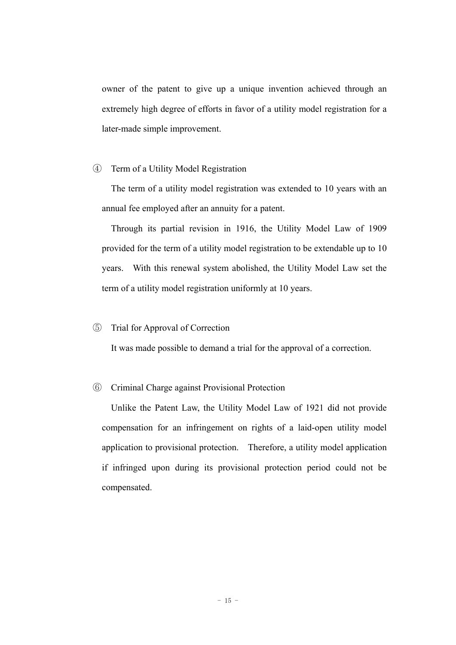owner of the patent to give up a unique invention achieved through an extremely high degree of efforts in favor of a utility model registration for a later-made simple improvement.

#### ④ Term of a Utility Model Registration

The term of a utility model registration was extended to 10 years with an annual fee employed after an annuity for a patent.

Through its partial revision in 1916, the Utility Model Law of 1909 provided for the term of a utility model registration to be extendable up to 10 years. With this renewal system abolished, the Utility Model Law set the term of a utility model registration uniformly at 10 years.

#### ⑤ Trial for Approval of Correction

It was made possible to demand a trial for the approval of a correction.

#### ⑥ Criminal Charge against Provisional Protection

Unlike the Patent Law, the Utility Model Law of 1921 did not provide compensation for an infringement on rights of a laid-open utility model application to provisional protection. Therefore, a utility model application if infringed upon during its provisional protection period could not be compensated.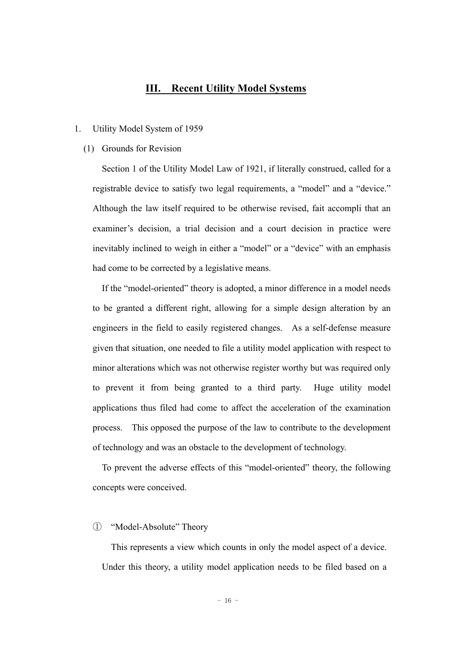#### **III. Recent Utility Model Systems**

#### 1. Utility Model System of 1959

#### (1) Grounds for Revision

Section 1 of the Utility Model Law of 1921, if literally construed, called for a registrable device to satisfy two legal requirements, a "model" and a "device." Although the law itself required to be otherwise revised, fait accompli that an examiner's decision, a trial decision and a court decision in practice were inevitably inclined to weigh in either a "model" or a "device" with an emphasis had come to be corrected by a legislative means.

If the "model-oriented" theory is adopted, a minor difference in a model needs to be granted a different right, allowing for a simple design alteration by an engineers in the field to easily registered changes. As a self-defense measure given that situation, one needed to file a utility model application with respect to minor alterations which was not otherwise register worthy but was required only to prevent it from being granted to a third party. Huge utility model applications thus filed had come to affect the acceleration of the examination process. This opposed the purpose of the law to contribute to the development of technology and was an obstacle to the development of technology.

To prevent the adverse effects of this "model-oriented" theory, the following concepts were conceived.

#### ① "Model-Absolute" Theory

This represents a view which counts in only the model aspect of a device. Under this theory, a utility model application needs to be filed based on a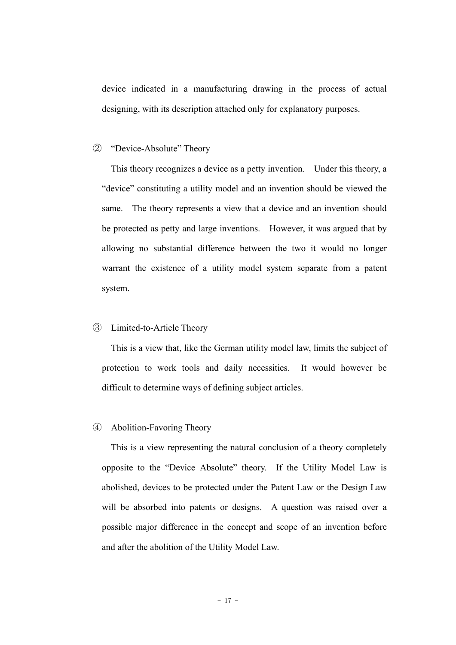device indicated in a manufacturing drawing in the process of actual designing, with its description attached only for explanatory purposes.

#### ② "Device-Absolute" Theory

This theory recognizes a device as a petty invention. Under this theory, a "device" constituting a utility model and an invention should be viewed the same. The theory represents a view that a device and an invention should be protected as petty and large inventions. However, it was argued that by allowing no substantial difference between the two it would no longer warrant the existence of a utility model system separate from a patent system.

#### ③ Limited-to-Article Theory

This is a view that, like the German utility model law, limits the subject of protection to work tools and daily necessities. It would however be difficult to determine ways of defining subject articles.

#### ④ Abolition-Favoring Theory

This is a view representing the natural conclusion of a theory completely opposite to the "Device Absolute" theory. If the Utility Model Law is abolished, devices to be protected under the Patent Law or the Design Law will be absorbed into patents or designs. A question was raised over a possible major difference in the concept and scope of an invention before and after the abolition of the Utility Model Law.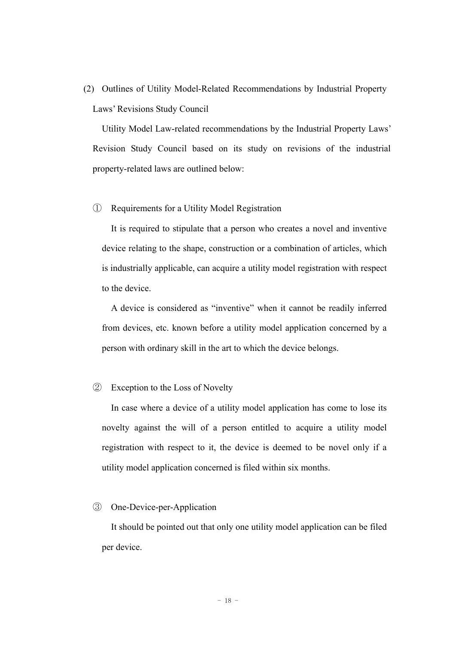(2) Outlines of Utility Model-Related Recommendations by Industrial Property Laws' Revisions Study Council

Utility Model Law-related recommendations by the Industrial Property Laws' Revision Study Council based on its study on revisions of the industrial property-related laws are outlined below:

#### ① Requirements for a Utility Model Registration

It is required to stipulate that a person who creates a novel and inventive device relating to the shape, construction or a combination of articles, which is industrially applicable, can acquire a utility model registration with respect to the device.

A device is considered as "inventive" when it cannot be readily inferred from devices, etc. known before a utility model application concerned by a person with ordinary skill in the art to which the device belongs.

#### ② Exception to the Loss of Novelty

In case where a device of a utility model application has come to lose its novelty against the will of a person entitled to acquire a utility model registration with respect to it, the device is deemed to be novel only if a utility model application concerned is filed within six months.

#### ③ One-Device-per-Application

It should be pointed out that only one utility model application can be filed per device.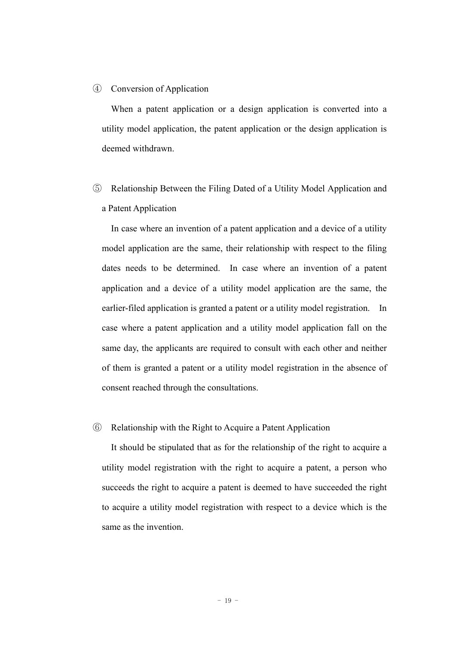#### ④ Conversion of Application

When a patent application or a design application is converted into a utility model application, the patent application or the design application is deemed withdrawn.

⑤ Relationship Between the Filing Dated of a Utility Model Application and a Patent Application

In case where an invention of a patent application and a device of a utility model application are the same, their relationship with respect to the filing dates needs to be determined. In case where an invention of a patent application and a device of a utility model application are the same, the earlier-filed application is granted a patent or a utility model registration. In case where a patent application and a utility model application fall on the same day, the applicants are required to consult with each other and neither of them is granted a patent or a utility model registration in the absence of consent reached through the consultations.

#### ⑥ Relationship with the Right to Acquire a Patent Application

It should be stipulated that as for the relationship of the right to acquire a utility model registration with the right to acquire a patent, a person who succeeds the right to acquire a patent is deemed to have succeeded the right to acquire a utility model registration with respect to a device which is the same as the invention.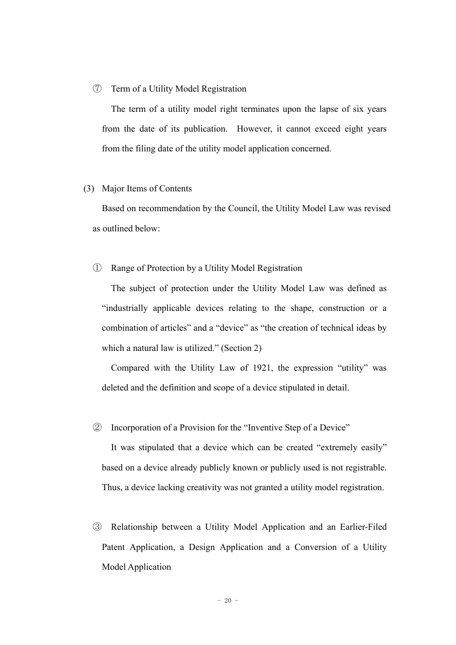#### ⑦ Term of a Utility Model Registration

The term of a utility model right terminates upon the lapse of six years from the date of its publication. However, it cannot exceed eight years from the filing date of the utility model application concerned.

#### (3) Major Items of Contents

Based on recommendation by the Council, the Utility Model Law was revised as outlined below:

#### ① Range of Protection by a Utility Model Registration

The subject of protection under the Utility Model Law was defined as "industrially applicable devices relating to the shape, construction or a combination of articles" and a "device" as "the creation of technical ideas by which a natural law is utilized." (Section 2)

Compared with the Utility Law of 1921, the expression "utility" was deleted and the definition and scope of a device stipulated in detail.

#### ② Incorporation of a Provision for the "Inventive Step of a Device"

It was stipulated that a device which can be created "extremely easily" based on a device already publicly known or publicly used is not registrable. Thus, a device lacking creativity was not granted a utility model registration.

③ Relationship between a Utility Model Application and an Earlier-Filed Patent Application, a Design Application and a Conversion of a Utility Model Application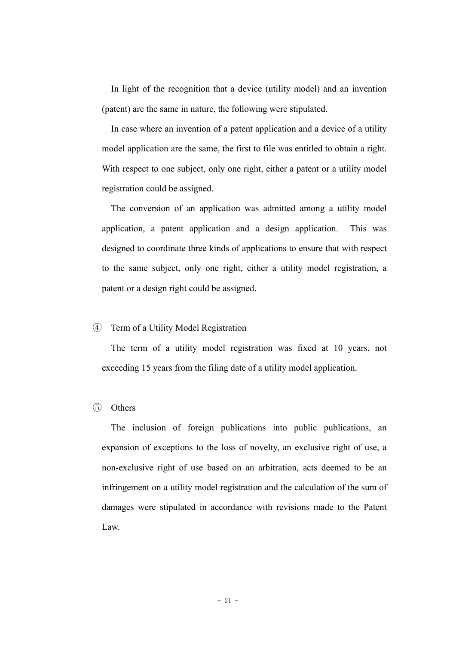In light of the recognition that a device (utility model) and an invention (patent) are the same in nature, the following were stipulated.

In case where an invention of a patent application and a device of a utility model application are the same, the first to file was entitled to obtain a right. With respect to one subject, only one right, either a patent or a utility model registration could be assigned.

The conversion of an application was admitted among a utility model application, a patent application and a design application. This was designed to coordinate three kinds of applications to ensure that with respect to the same subject, only one right, either a utility model registration, a patent or a design right could be assigned.

#### ④ Term of a Utility Model Registration

The term of a utility model registration was fixed at 10 years, not exceeding 15 years from the filing date of a utility model application.

#### ⑤ Others

The inclusion of foreign publications into public publications, an expansion of exceptions to the loss of novelty, an exclusive right of use, a non-exclusive right of use based on an arbitration, acts deemed to be an infringement on a utility model registration and the calculation of the sum of damages were stipulated in accordance with revisions made to the Patent Law.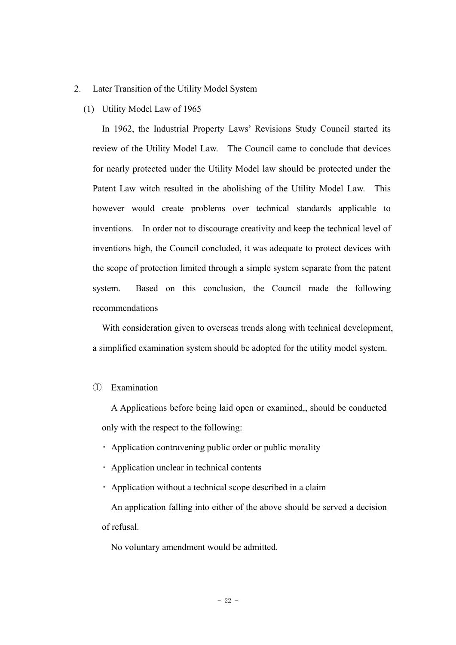#### 2. Later Transition of the Utility Model System

#### (1) Utility Model Law of 1965

In 1962, the Industrial Property Laws' Revisions Study Council started its review of the Utility Model Law. The Council came to conclude that devices for nearly protected under the Utility Model law should be protected under the Patent Law witch resulted in the abolishing of the Utility Model Law. This however would create problems over technical standards applicable to inventions. In order not to discourage creativity and keep the technical level of inventions high, the Council concluded, it was adequate to protect devices with the scope of protection limited through a simple system separate from the patent system. Based on this conclusion, the Council made the following recommendations

With consideration given to overseas trends along with technical development, a simplified examination system should be adopted for the utility model system.

#### ① Examination

A Applications before being laid open or examined,, should be conducted only with the respect to the following:

- ・ Application contravening public order or public morality
- ・ Application unclear in technical contents
- ・ Application without a technical scope described in a claim

An application falling into either of the above should be served a decision of refusal.

No voluntary amendment would be admitted.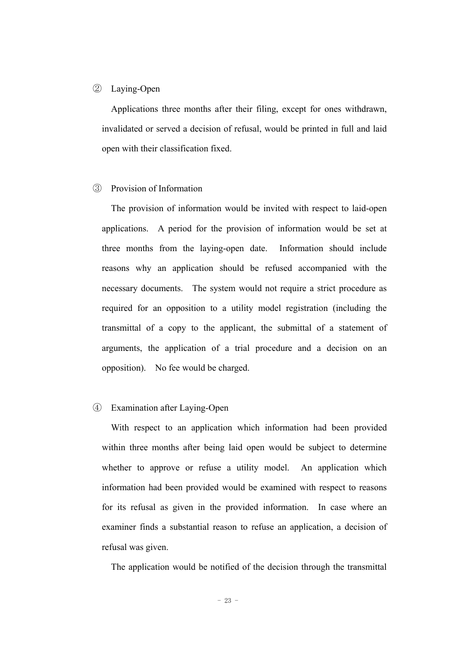#### ② Laying-Open

Applications three months after their filing, except for ones withdrawn, invalidated or served a decision of refusal, would be printed in full and laid open with their classification fixed.

#### ③ Provision of Information

The provision of information would be invited with respect to laid-open applications. A period for the provision of information would be set at three months from the laying-open date. Information should include reasons why an application should be refused accompanied with the necessary documents. The system would not require a strict procedure as required for an opposition to a utility model registration (including the transmittal of a copy to the applicant, the submittal of a statement of arguments, the application of a trial procedure and a decision on an opposition). No fee would be charged.

#### ④ Examination after Laying-Open

With respect to an application which information had been provided within three months after being laid open would be subject to determine whether to approve or refuse a utility model. An application which information had been provided would be examined with respect to reasons for its refusal as given in the provided information. In case where an examiner finds a substantial reason to refuse an application, a decision of refusal was given.

The application would be notified of the decision through the transmittal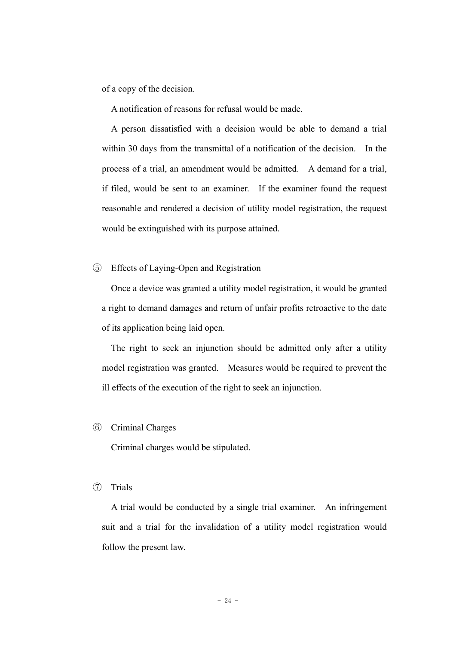of a copy of the decision.

A notification of reasons for refusal would be made.

A person dissatisfied with a decision would be able to demand a trial within 30 days from the transmittal of a notification of the decision. In the process of a trial, an amendment would be admitted. A demand for a trial, if filed, would be sent to an examiner. If the examiner found the request reasonable and rendered a decision of utility model registration, the request would be extinguished with its purpose attained.

⑤ Effects of Laying-Open and Registration

Once a device was granted a utility model registration, it would be granted a right to demand damages and return of unfair profits retroactive to the date of its application being laid open.

The right to seek an injunction should be admitted only after a utility model registration was granted. Measures would be required to prevent the ill effects of the execution of the right to seek an injunction.

#### ⑥ Criminal Charges

Criminal charges would be stipulated.

⑦ Trials

A trial would be conducted by a single trial examiner. An infringement suit and a trial for the invalidation of a utility model registration would follow the present law.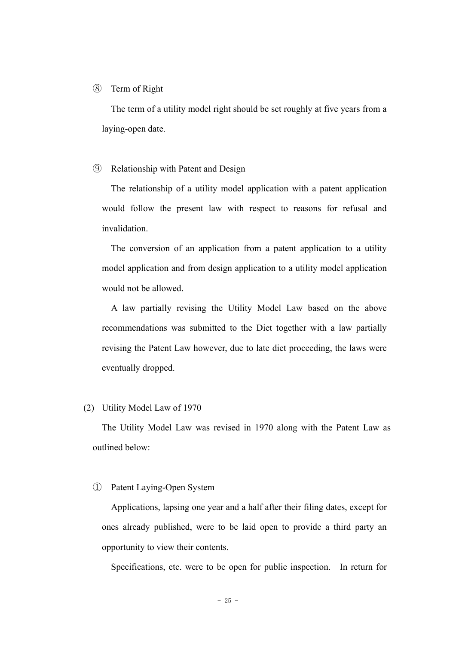#### ⑧ Term of Right

The term of a utility model right should be set roughly at five years from a laying-open date.

#### ⑨ Relationship with Patent and Design

The relationship of a utility model application with a patent application would follow the present law with respect to reasons for refusal and invalidation.

The conversion of an application from a patent application to a utility model application and from design application to a utility model application would not be allowed.

A law partially revising the Utility Model Law based on the above recommendations was submitted to the Diet together with a law partially revising the Patent Law however, due to late diet proceeding, the laws were eventually dropped.

#### (2) Utility Model Law of 1970

The Utility Model Law was revised in 1970 along with the Patent Law as outlined below:

#### ① Patent Laying-Open System

Applications, lapsing one year and a half after their filing dates, except for ones already published, were to be laid open to provide a third party an opportunity to view their contents.

Specifications, etc. were to be open for public inspection. In return for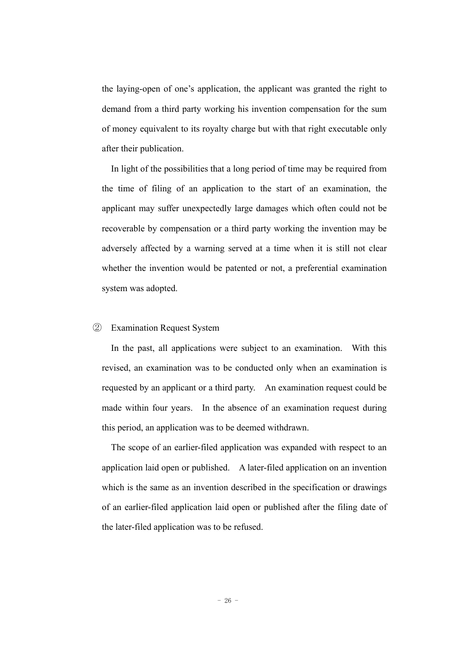the laying-open of one's application, the applicant was granted the right to demand from a third party working his invention compensation for the sum of money equivalent to its royalty charge but with that right executable only after their publication.

In light of the possibilities that a long period of time may be required from the time of filing of an application to the start of an examination, the applicant may suffer unexpectedly large damages which often could not be recoverable by compensation or a third party working the invention may be adversely affected by a warning served at a time when it is still not clear whether the invention would be patented or not, a preferential examination system was adopted.

#### ② Examination Request System

In the past, all applications were subject to an examination. With this revised, an examination was to be conducted only when an examination is requested by an applicant or a third party. An examination request could be made within four years. In the absence of an examination request during this period, an application was to be deemed withdrawn.

The scope of an earlier-filed application was expanded with respect to an application laid open or published. A later-filed application on an invention which is the same as an invention described in the specification or drawings of an earlier-filed application laid open or published after the filing date of the later-filed application was to be refused.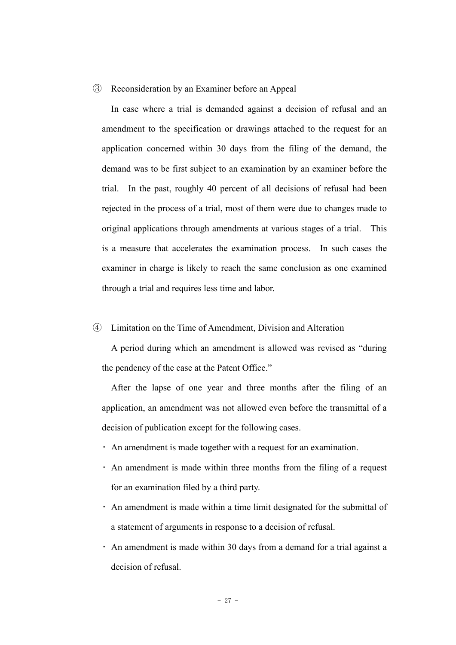#### ③ Reconsideration by an Examiner before an Appeal

In case where a trial is demanded against a decision of refusal and an amendment to the specification or drawings attached to the request for an application concerned within 30 days from the filing of the demand, the demand was to be first subject to an examination by an examiner before the trial. In the past, roughly 40 percent of all decisions of refusal had been rejected in the process of a trial, most of them were due to changes made to original applications through amendments at various stages of a trial. This is a measure that accelerates the examination process. In such cases the examiner in charge is likely to reach the same conclusion as one examined through a trial and requires less time and labor.

#### ④ Limitation on the Time of Amendment, Division and Alteration

A period during which an amendment is allowed was revised as "during the pendency of the case at the Patent Office."

After the lapse of one year and three months after the filing of an application, an amendment was not allowed even before the transmittal of a decision of publication except for the following cases.

- ・ An amendment is made together with a request for an examination.
- ・ An amendment is made within three months from the filing of a request for an examination filed by a third party.
- ・ An amendment is made within a time limit designated for the submittal of a statement of arguments in response to a decision of refusal.
- ・ An amendment is made within 30 days from a demand for a trial against a decision of refusal.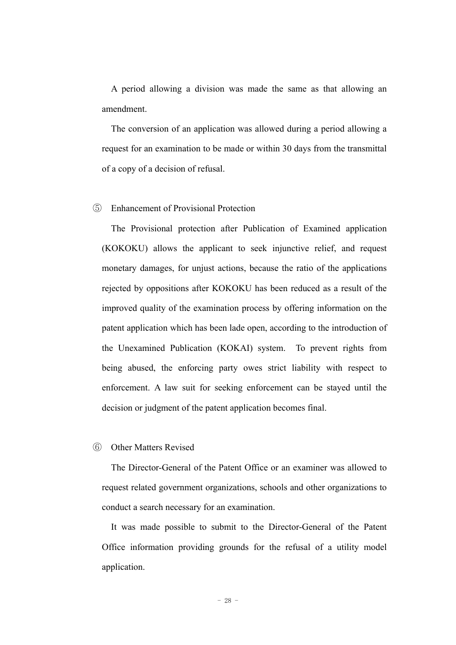A period allowing a division was made the same as that allowing an amendment.

The conversion of an application was allowed during a period allowing a request for an examination to be made or within 30 days from the transmittal of a copy of a decision of refusal.

#### ⑤ Enhancement of Provisional Protection

The Provisional protection after Publication of Examined application (KOKOKU) allows the applicant to seek injunctive relief, and request monetary damages, for unjust actions, because the ratio of the applications rejected by oppositions after KOKOKU has been reduced as a result of the improved quality of the examination process by offering information on the patent application which has been lade open, according to the introduction of the Unexamined Publication (KOKAI) system. To prevent rights from being abused, the enforcing party owes strict liability with respect to enforcement. A law suit for seeking enforcement can be stayed until the decision or judgment of the patent application becomes final.

#### ⑥ Other Matters Revised

The Director-General of the Patent Office or an examiner was allowed to request related government organizations, schools and other organizations to conduct a search necessary for an examination.

It was made possible to submit to the Director-General of the Patent Office information providing grounds for the refusal of a utility model application.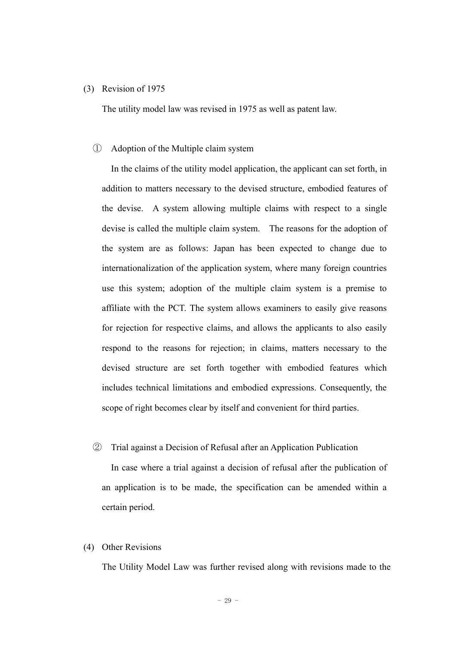#### (3) Revision of 1975

The utility model law was revised in 1975 as well as patent law.

#### ① Adoption of the Multiple claim system

In the claims of the utility model application, the applicant can set forth, in addition to matters necessary to the devised structure, embodied features of the devise. A system allowing multiple claims with respect to a single devise is called the multiple claim system. The reasons for the adoption of the system are as follows: Japan has been expected to change due to internationalization of the application system, where many foreign countries use this system; adoption of the multiple claim system is a premise to affiliate with the PCT. The system allows examiners to easily give reasons for rejection for respective claims, and allows the applicants to also easily respond to the reasons for rejection; in claims, matters necessary to the devised structure are set forth together with embodied features which includes technical limitations and embodied expressions. Consequently, the scope of right becomes clear by itself and convenient for third parties.

#### ② Trial against a Decision of Refusal after an Application Publication

In case where a trial against a decision of refusal after the publication of an application is to be made, the specification can be amended within a certain period.

#### (4) Other Revisions

The Utility Model Law was further revised along with revisions made to the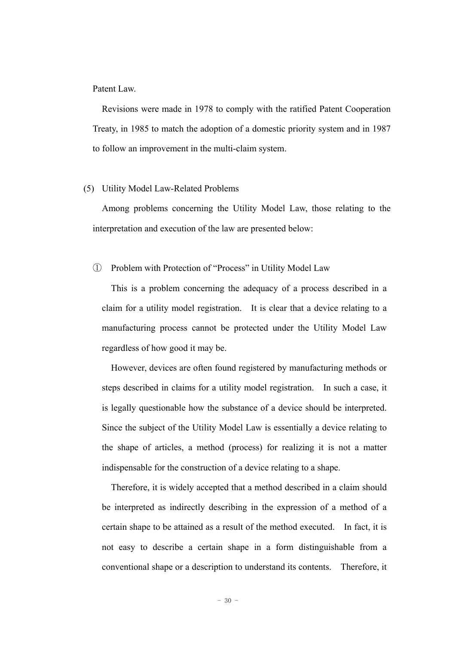Patent Law.

Revisions were made in 1978 to comply with the ratified Patent Cooperation Treaty, in 1985 to match the adoption of a domestic priority system and in 1987 to follow an improvement in the multi-claim system.

#### (5) Utility Model Law-Related Problems

Among problems concerning the Utility Model Law, those relating to the interpretation and execution of the law are presented below:

#### ① Problem with Protection of "Process" in Utility Model Law

This is a problem concerning the adequacy of a process described in a claim for a utility model registration. It is clear that a device relating to a manufacturing process cannot be protected under the Utility Model Law regardless of how good it may be.

However, devices are often found registered by manufacturing methods or steps described in claims for a utility model registration. In such a case, it is legally questionable how the substance of a device should be interpreted. Since the subject of the Utility Model Law is essentially a device relating to the shape of articles, a method (process) for realizing it is not a matter indispensable for the construction of a device relating to a shape.

Therefore, it is widely accepted that a method described in a claim should be interpreted as indirectly describing in the expression of a method of a certain shape to be attained as a result of the method executed. In fact, it is not easy to describe a certain shape in a form distinguishable from a conventional shape or a description to understand its contents. Therefore, it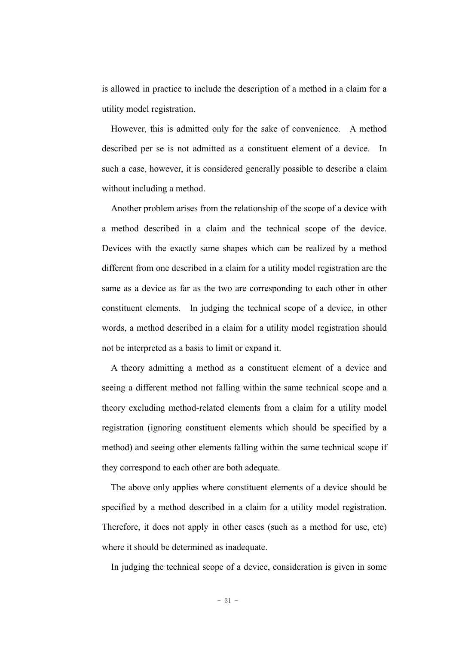is allowed in practice to include the description of a method in a claim for a utility model registration.

However, this is admitted only for the sake of convenience. A method described per se is not admitted as a constituent element of a device. In such a case, however, it is considered generally possible to describe a claim without including a method.

Another problem arises from the relationship of the scope of a device with a method described in a claim and the technical scope of the device. Devices with the exactly same shapes which can be realized by a method different from one described in a claim for a utility model registration are the same as a device as far as the two are corresponding to each other in other constituent elements. In judging the technical scope of a device, in other words, a method described in a claim for a utility model registration should not be interpreted as a basis to limit or expand it.

A theory admitting a method as a constituent element of a device and seeing a different method not falling within the same technical scope and a theory excluding method-related elements from a claim for a utility model registration (ignoring constituent elements which should be specified by a method) and seeing other elements falling within the same technical scope if they correspond to each other are both adequate.

The above only applies where constituent elements of a device should be specified by a method described in a claim for a utility model registration. Therefore, it does not apply in other cases (such as a method for use, etc) where it should be determined as inadequate.

In judging the technical scope of a device, consideration is given in some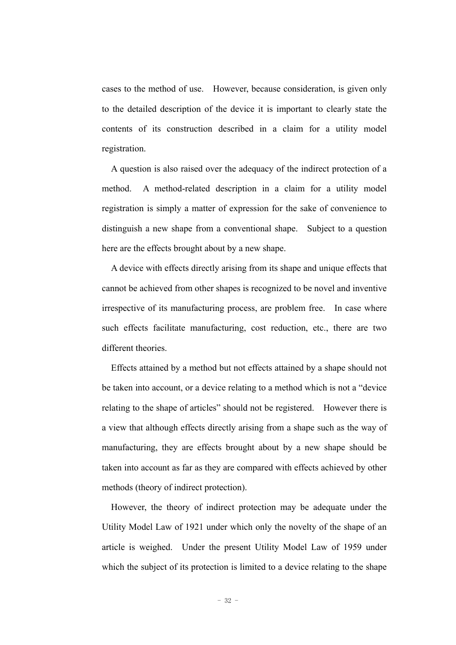cases to the method of use. However, because consideration, is given only to the detailed description of the device it is important to clearly state the contents of its construction described in a claim for a utility model registration.

A question is also raised over the adequacy of the indirect protection of a method. A method-related description in a claim for a utility model registration is simply a matter of expression for the sake of convenience to distinguish a new shape from a conventional shape. Subject to a question here are the effects brought about by a new shape.

A device with effects directly arising from its shape and unique effects that cannot be achieved from other shapes is recognized to be novel and inventive irrespective of its manufacturing process, are problem free. In case where such effects facilitate manufacturing, cost reduction, etc., there are two different theories.

Effects attained by a method but not effects attained by a shape should not be taken into account, or a device relating to a method which is not a "device relating to the shape of articles" should not be registered. However there is a view that although effects directly arising from a shape such as the way of manufacturing, they are effects brought about by a new shape should be taken into account as far as they are compared with effects achieved by other methods (theory of indirect protection).

However, the theory of indirect protection may be adequate under the Utility Model Law of 1921 under which only the novelty of the shape of an article is weighed. Under the present Utility Model Law of 1959 under which the subject of its protection is limited to a device relating to the shape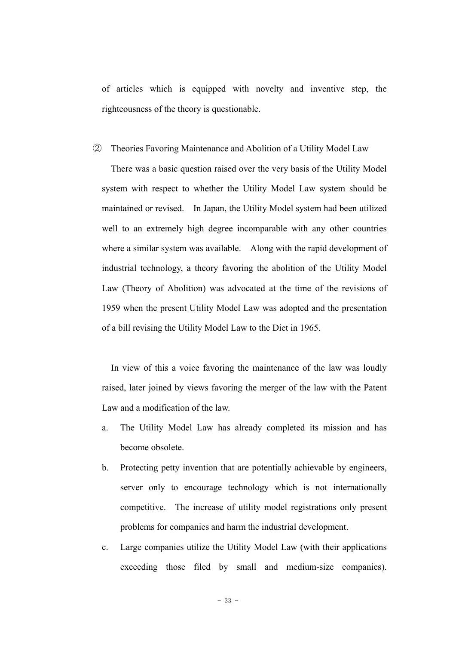of articles which is equipped with novelty and inventive step, the righteousness of the theory is questionable.

#### ② Theories Favoring Maintenance and Abolition of a Utility Model Law

There was a basic question raised over the very basis of the Utility Model system with respect to whether the Utility Model Law system should be maintained or revised. In Japan, the Utility Model system had been utilized well to an extremely high degree incomparable with any other countries where a similar system was available. Along with the rapid development of industrial technology, a theory favoring the abolition of the Utility Model Law (Theory of Abolition) was advocated at the time of the revisions of 1959 when the present Utility Model Law was adopted and the presentation of a bill revising the Utility Model Law to the Diet in 1965.

In view of this a voice favoring the maintenance of the law was loudly raised, later joined by views favoring the merger of the law with the Patent Law and a modification of the law.

- a. The Utility Model Law has already completed its mission and has become obsolete.
- b. Protecting petty invention that are potentially achievable by engineers, server only to encourage technology which is not internationally competitive. The increase of utility model registrations only present problems for companies and harm the industrial development.
- c. Large companies utilize the Utility Model Law (with their applications exceeding those filed by small and medium-size companies).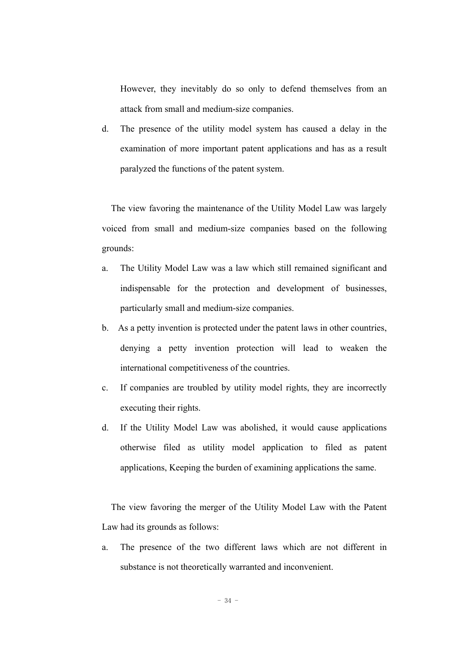However, they inevitably do so only to defend themselves from an attack from small and medium-size companies.

d. The presence of the utility model system has caused a delay in the examination of more important patent applications and has as a result paralyzed the functions of the patent system.

The view favoring the maintenance of the Utility Model Law was largely voiced from small and medium-size companies based on the following grounds:

- a. The Utility Model Law was a law which still remained significant and indispensable for the protection and development of businesses, particularly small and medium-size companies.
- b. As a petty invention is protected under the patent laws in other countries, denying a petty invention protection will lead to weaken the international competitiveness of the countries.
- c. If companies are troubled by utility model rights, they are incorrectly executing their rights.
- d. If the Utility Model Law was abolished, it would cause applications otherwise filed as utility model application to filed as patent applications, Keeping the burden of examining applications the same.

The view favoring the merger of the Utility Model Law with the Patent Law had its grounds as follows:

a. The presence of the two different laws which are not different in substance is not theoretically warranted and inconvenient.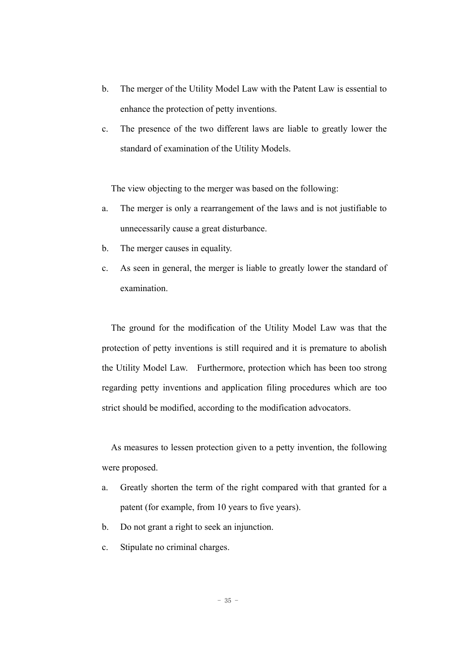- b. The merger of the Utility Model Law with the Patent Law is essential to enhance the protection of petty inventions.
- c. The presence of the two different laws are liable to greatly lower the standard of examination of the Utility Models.

The view objecting to the merger was based on the following:

- a. The merger is only a rearrangement of the laws and is not justifiable to unnecessarily cause a great disturbance.
- b. The merger causes in equality.
- c. As seen in general, the merger is liable to greatly lower the standard of examination.

The ground for the modification of the Utility Model Law was that the protection of petty inventions is still required and it is premature to abolish the Utility Model Law. Furthermore, protection which has been too strong regarding petty inventions and application filing procedures which are too strict should be modified, according to the modification advocators.

As measures to lessen protection given to a petty invention, the following were proposed.

- a. Greatly shorten the term of the right compared with that granted for a patent (for example, from 10 years to five years).
- b. Do not grant a right to seek an injunction.
- c. Stipulate no criminal charges.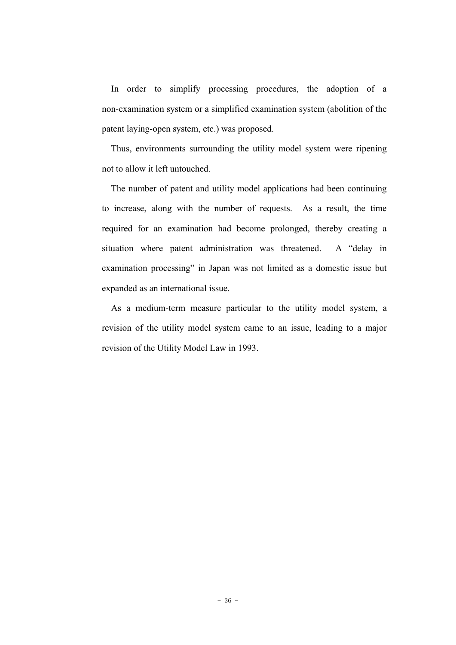In order to simplify processing procedures, the adoption of a non-examination system or a simplified examination system (abolition of the patent laying-open system, etc.) was proposed.

Thus, environments surrounding the utility model system were ripening not to allow it left untouched.

The number of patent and utility model applications had been continuing to increase, along with the number of requests. As a result, the time required for an examination had become prolonged, thereby creating a situation where patent administration was threatened. A "delay in examination processing" in Japan was not limited as a domestic issue but expanded as an international issue.

As a medium-term measure particular to the utility model system, a revision of the utility model system came to an issue, leading to a major revision of the Utility Model Law in 1993.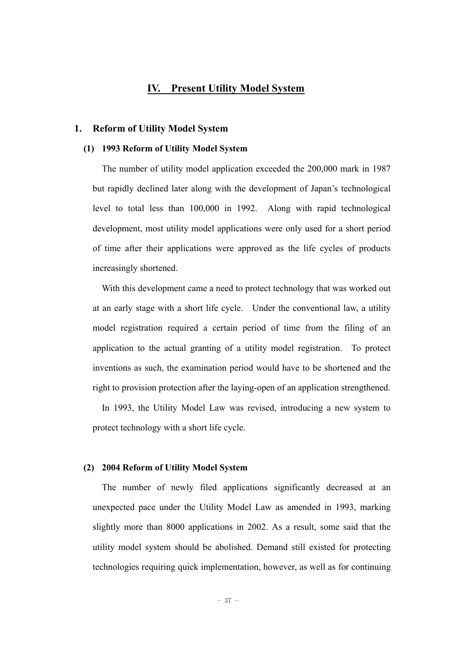#### **IV. Present Utility Model System**

#### **1. Reform of Utility Model System**

#### **(1) 1993 Reform of Utility Model System**

The number of utility model application exceeded the 200,000 mark in 1987 but rapidly declined later along with the development of Japan's technological level to total less than 100,000 in 1992. Along with rapid technological development, most utility model applications were only used for a short period of time after their applications were approved as the life cycles of products increasingly shortened.

With this development came a need to protect technology that was worked out at an early stage with a short life cycle. Under the conventional law, a utility model registration required a certain period of time from the filing of an application to the actual granting of a utility model registration. To protect inventions as such, the examination period would have to be shortened and the right to provision protection after the laying-open of an application strengthened.

In 1993, the Utility Model Law was revised, introducing a new system to protect technology with a short life cycle.

#### **(2) 2004 Reform of Utility Model System**

The number of newly filed applications significantly decreased at an unexpected pace under the Utility Model Law as amended in 1993, marking slightly more than 8000 applications in 2002. As a result, some said that the utility model system should be abolished. Demand still existed for protecting technologies requiring quick implementation, however, as well as for continuing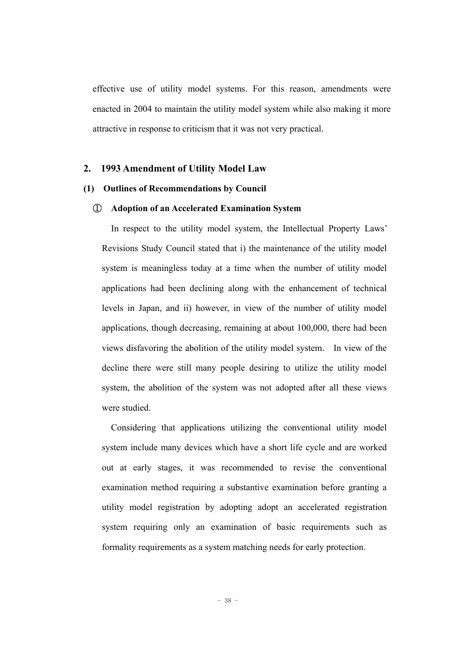effective use of utility model systems. For this reason, amendments were enacted in 2004 to maintain the utility model system while also making it more attractive in response to criticism that it was not very practical.

#### **2. 1993 Amendment of Utility Model Law**

#### **(1) Outlines of Recommendations by Council**

#### ① **Adoption of an Accelerated Examination System**

In respect to the utility model system, the Intellectual Property Laws' Revisions Study Council stated that i) the maintenance of the utility model system is meaningless today at a time when the number of utility model applications had been declining along with the enhancement of technical levels in Japan, and ii) however, in view of the number of utility model applications, though decreasing, remaining at about 100,000, there had been views disfavoring the abolition of the utility model system. In view of the decline there were still many people desiring to utilize the utility model system, the abolition of the system was not adopted after all these views were studied.

Considering that applications utilizing the conventional utility model system include many devices which have a short life cycle and are worked out at early stages, it was recommended to revise the conventional examination method requiring a substantive examination before granting a utility model registration by adopting adopt an accelerated registration system requiring only an examination of basic requirements such as formality requirements as a system matching needs for early protection.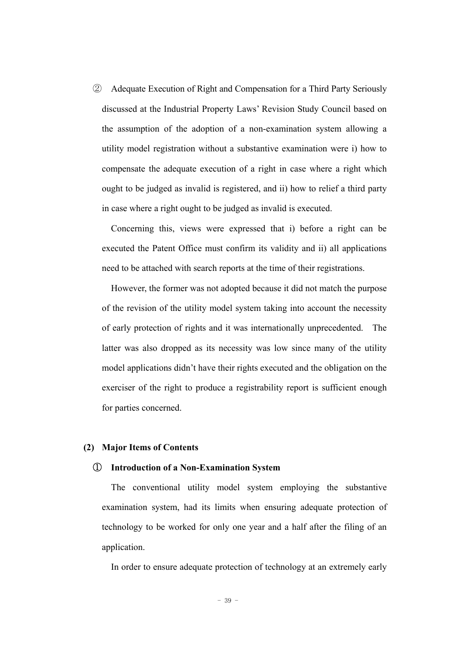② Adequate Execution of Right and Compensation for a Third Party Seriously discussed at the Industrial Property Laws' Revision Study Council based on the assumption of the adoption of a non-examination system allowing a utility model registration without a substantive examination were i) how to compensate the adequate execution of a right in case where a right which ought to be judged as invalid is registered, and ii) how to relief a third party in case where a right ought to be judged as invalid is executed.

Concerning this, views were expressed that i) before a right can be executed the Patent Office must confirm its validity and ii) all applications need to be attached with search reports at the time of their registrations.

However, the former was not adopted because it did not match the purpose of the revision of the utility model system taking into account the necessity of early protection of rights and it was internationally unprecedented. The latter was also dropped as its necessity was low since many of the utility model applications didn't have their rights executed and the obligation on the exerciser of the right to produce a registrability report is sufficient enough for parties concerned.

#### **(2) Major Items of Contents**

#### ① **Introduction of a Non-Examination System**

The conventional utility model system employing the substantive examination system, had its limits when ensuring adequate protection of technology to be worked for only one year and a half after the filing of an application.

In order to ensure adequate protection of technology at an extremely early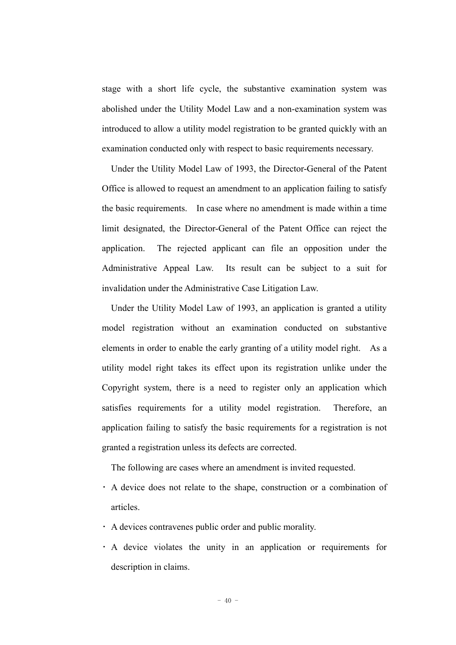stage with a short life cycle, the substantive examination system was abolished under the Utility Model Law and a non-examination system was introduced to allow a utility model registration to be granted quickly with an examination conducted only with respect to basic requirements necessary.

Under the Utility Model Law of 1993, the Director-General of the Patent Office is allowed to request an amendment to an application failing to satisfy the basic requirements. In case where no amendment is made within a time limit designated, the Director-General of the Patent Office can reject the application. The rejected applicant can file an opposition under the Administrative Appeal Law. Its result can be subject to a suit for invalidation under the Administrative Case Litigation Law.

Under the Utility Model Law of 1993, an application is granted a utility model registration without an examination conducted on substantive elements in order to enable the early granting of a utility model right. As a utility model right takes its effect upon its registration unlike under the Copyright system, there is a need to register only an application which satisfies requirements for a utility model registration. Therefore, an application failing to satisfy the basic requirements for a registration is not granted a registration unless its defects are corrected.

The following are cases where an amendment is invited requested.

- ・ A device does not relate to the shape, construction or a combination of articles.
- ・ A devices contravenes public order and public morality.
- ・ A device violates the unity in an application or requirements for description in claims.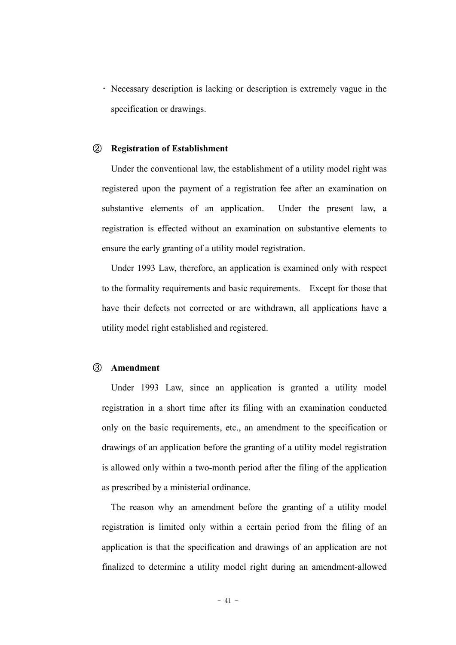・ Necessary description is lacking or description is extremely vague in the specification or drawings.

#### ② **Registration of Establishment**

Under the conventional law, the establishment of a utility model right was registered upon the payment of a registration fee after an examination on substantive elements of an application. Under the present law, a registration is effected without an examination on substantive elements to ensure the early granting of a utility model registration.

Under 1993 Law, therefore, an application is examined only with respect to the formality requirements and basic requirements. Except for those that have their defects not corrected or are withdrawn, all applications have a utility model right established and registered.

#### ③ **Amendment**

Under 1993 Law, since an application is granted a utility model registration in a short time after its filing with an examination conducted only on the basic requirements, etc., an amendment to the specification or drawings of an application before the granting of a utility model registration is allowed only within a two-month period after the filing of the application as prescribed by a ministerial ordinance.

The reason why an amendment before the granting of a utility model registration is limited only within a certain period from the filing of an application is that the specification and drawings of an application are not finalized to determine a utility model right during an amendment-allowed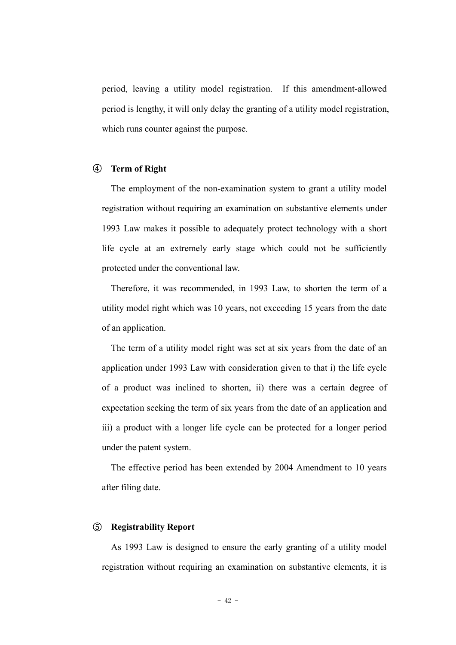period, leaving a utility model registration. If this amendment-allowed period is lengthy, it will only delay the granting of a utility model registration, which runs counter against the purpose.

#### ④ **Term of Right**

The employment of the non-examination system to grant a utility model registration without requiring an examination on substantive elements under 1993 Law makes it possible to adequately protect technology with a short life cycle at an extremely early stage which could not be sufficiently protected under the conventional law.

Therefore, it was recommended, in 1993 Law, to shorten the term of a utility model right which was 10 years, not exceeding 15 years from the date of an application.

The term of a utility model right was set at six years from the date of an application under 1993 Law with consideration given to that i) the life cycle of a product was inclined to shorten, ii) there was a certain degree of expectation seeking the term of six years from the date of an application and iii) a product with a longer life cycle can be protected for a longer period under the patent system.

The effective period has been extended by 2004 Amendment to 10 years after filing date.

#### ⑤ **Registrability Report**

As 1993 Law is designed to ensure the early granting of a utility model registration without requiring an examination on substantive elements, it is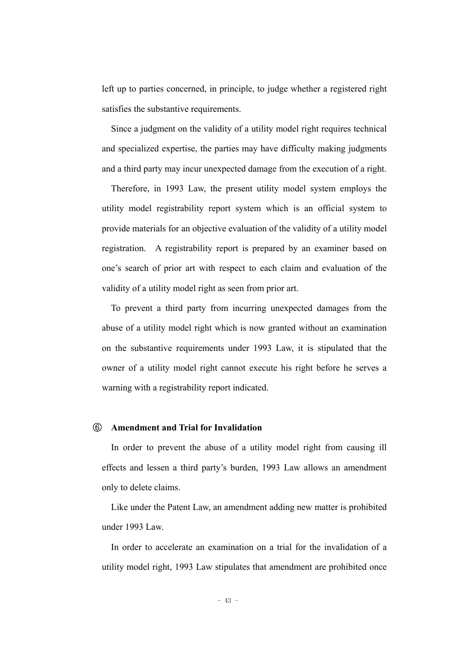left up to parties concerned, in principle, to judge whether a registered right satisfies the substantive requirements.

Since a judgment on the validity of a utility model right requires technical and specialized expertise, the parties may have difficulty making judgments and a third party may incur unexpected damage from the execution of a right.

Therefore, in 1993 Law, the present utility model system employs the utility model registrability report system which is an official system to provide materials for an objective evaluation of the validity of a utility model registration. A registrability report is prepared by an examiner based on one's search of prior art with respect to each claim and evaluation of the validity of a utility model right as seen from prior art.

To prevent a third party from incurring unexpected damages from the abuse of a utility model right which is now granted without an examination on the substantive requirements under 1993 Law, it is stipulated that the owner of a utility model right cannot execute his right before he serves a warning with a registrability report indicated.

#### ⑥ **Amendment and Trial for Invalidation**

In order to prevent the abuse of a utility model right from causing ill effects and lessen a third party's burden, 1993 Law allows an amendment only to delete claims.

Like under the Patent Law, an amendment adding new matter is prohibited under 1993 Law.

In order to accelerate an examination on a trial for the invalidation of a utility model right, 1993 Law stipulates that amendment are prohibited once

- 43 -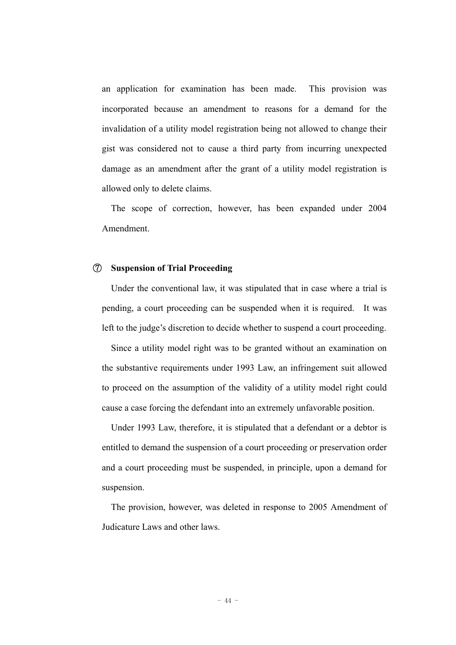an application for examination has been made. This provision was incorporated because an amendment to reasons for a demand for the invalidation of a utility model registration being not allowed to change their gist was considered not to cause a third party from incurring unexpected damage as an amendment after the grant of a utility model registration is allowed only to delete claims.

The scope of correction, however, has been expanded under 2004 Amendment.

#### ⑦ **Suspension of Trial Proceeding**

Under the conventional law, it was stipulated that in case where a trial is pending, a court proceeding can be suspended when it is required. It was left to the judge's discretion to decide whether to suspend a court proceeding.

Since a utility model right was to be granted without an examination on the substantive requirements under 1993 Law, an infringement suit allowed to proceed on the assumption of the validity of a utility model right could cause a case forcing the defendant into an extremely unfavorable position.

Under 1993 Law, therefore, it is stipulated that a defendant or a debtor is entitled to demand the suspension of a court proceeding or preservation order and a court proceeding must be suspended, in principle, upon a demand for suspension.

The provision, however, was deleted in response to 2005 Amendment of Judicature Laws and other laws.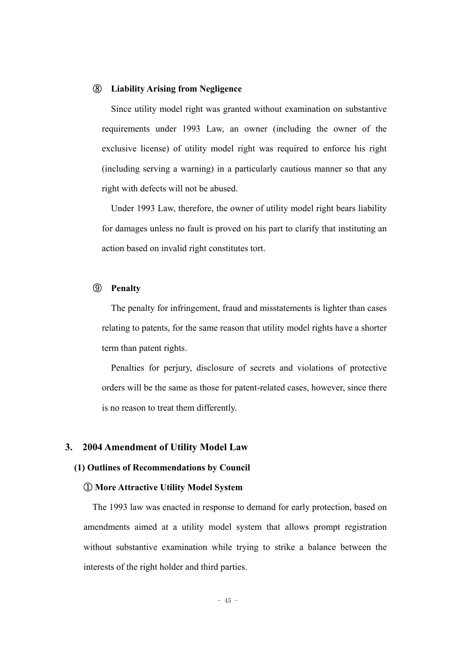#### ⑧ **Liability Arising from Negligence**

Since utility model right was granted without examination on substantive requirements under 1993 Law, an owner (including the owner of the exclusive license) of utility model right was required to enforce his right (including serving a warning) in a particularly cautious manner so that any right with defects will not be abused.

Under 1993 Law, therefore, the owner of utility model right bears liability for damages unless no fault is proved on his part to clarify that instituting an action based on invalid right constitutes tort.

#### ⑨ **Penalty**

The penalty for infringement, fraud and misstatements is lighter than cases relating to patents, for the same reason that utility model rights have a shorter term than patent rights.

Penalties for perjury, disclosure of secrets and violations of protective orders will be the same as those for patent-related cases, however, since there is no reason to treat them differently.

#### **3. 2004 Amendment of Utility Model Law**

#### **(1) Outlines of Recommendations by Council**

#### ① **More Attractive Utility Model System**

 The 1993 law was enacted in response to demand for early protection, based on amendments aimed at a utility model system that allows prompt registration without substantive examination while trying to strike a balance between the interests of the right holder and third parties.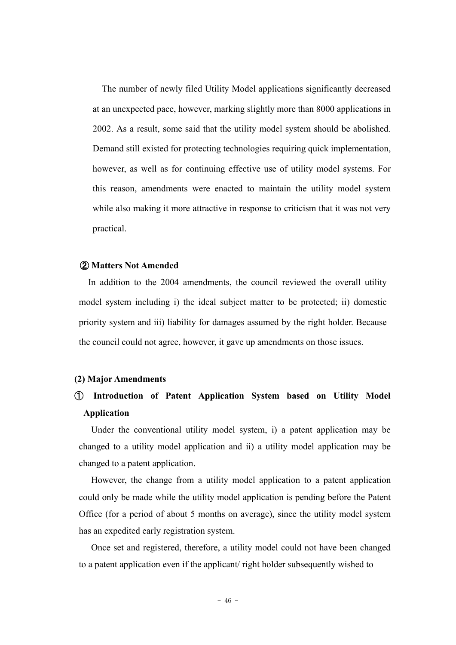The number of newly filed Utility Model applications significantly decreased at an unexpected pace, however, marking slightly more than 8000 applications in 2002. As a result, some said that the utility model system should be abolished. Demand still existed for protecting technologies requiring quick implementation, however, as well as for continuing effective use of utility model systems. For this reason, amendments were enacted to maintain the utility model system while also making it more attractive in response to criticism that it was not very practical.

#### ② **Matters Not Amended**

In addition to the 2004 amendments, the council reviewed the overall utility model system including i) the ideal subject matter to be protected; ii) domestic priority system and iii) liability for damages assumed by the right holder. Because the council could not agree, however, it gave up amendments on those issues.

#### **(2) Major Amendments**

### ① **Introduction of Patent Application System based on Utility Model Application**

 Under the conventional utility model system, i) a patent application may be changed to a utility model application and ii) a utility model application may be changed to a patent application.

 However, the change from a utility model application to a patent application could only be made while the utility model application is pending before the Patent Office (for a period of about 5 months on average), since the utility model system has an expedited early registration system.

 Once set and registered, therefore, a utility model could not have been changed to a patent application even if the applicant/ right holder subsequently wished to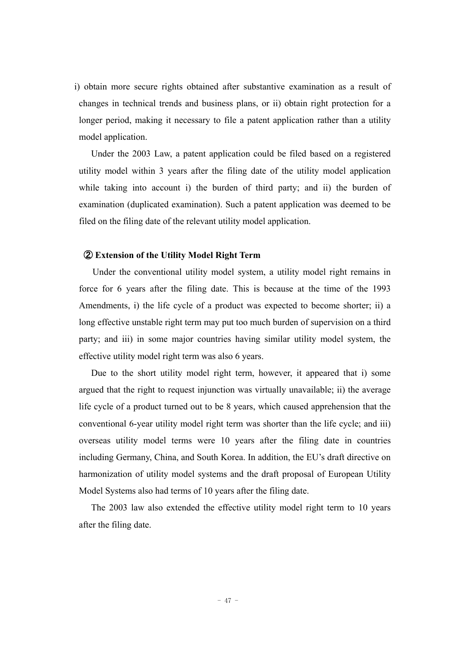i) obtain more secure rights obtained after substantive examination as a result of changes in technical trends and business plans, or ii) obtain right protection for a longer period, making it necessary to file a patent application rather than a utility model application.

 Under the 2003 Law, a patent application could be filed based on a registered utility model within 3 years after the filing date of the utility model application while taking into account i) the burden of third party; and ii) the burden of examination (duplicated examination). Such a patent application was deemed to be filed on the filing date of the relevant utility model application.

#### ② **Extension of the Utility Model Right Term**

Under the conventional utility model system, a utility model right remains in force for 6 years after the filing date. This is because at the time of the 1993 Amendments, i) the life cycle of a product was expected to become shorter; ii) a long effective unstable right term may put too much burden of supervision on a third party; and iii) in some major countries having similar utility model system, the effective utility model right term was also 6 years.

 Due to the short utility model right term, however, it appeared that i) some argued that the right to request injunction was virtually unavailable; ii) the average life cycle of a product turned out to be 8 years, which caused apprehension that the conventional 6-year utility model right term was shorter than the life cycle; and iii) overseas utility model terms were 10 years after the filing date in countries including Germany, China, and South Korea. In addition, the EU's draft directive on harmonization of utility model systems and the draft proposal of European Utility Model Systems also had terms of 10 years after the filing date.

 The 2003 law also extended the effective utility model right term to 10 years after the filing date.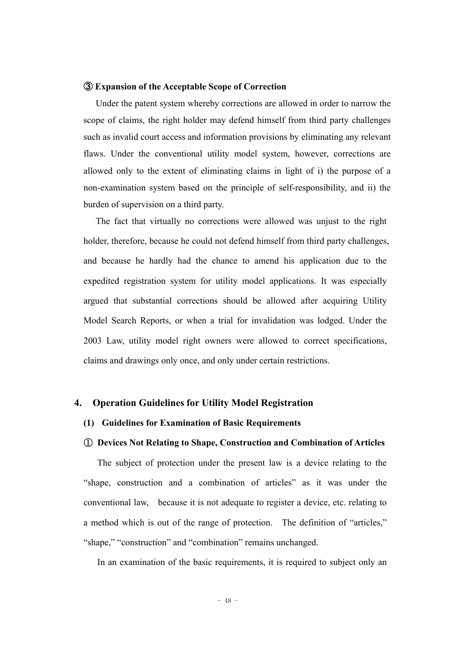#### ③ **Expansion of the Acceptable Scope of Correction**

 Under the patent system whereby corrections are allowed in order to narrow the scope of claims, the right holder may defend himself from third party challenges such as invalid court access and information provisions by eliminating any relevant flaws. Under the conventional utility model system, however, corrections are allowed only to the extent of eliminating claims in light of i) the purpose of a non-examination system based on the principle of self-responsibility, and ii) the burden of supervision on a third party.

 The fact that virtually no corrections were allowed was unjust to the right holder, therefore, because he could not defend himself from third party challenges, and because he hardly had the chance to amend his application due to the expedited registration system for utility model applications. It was especially argued that substantial corrections should be allowed after acquiring Utility Model Search Reports, or when a trial for invalidation was lodged. Under the 2003 Law, utility model right owners were allowed to correct specifications, claims and drawings only once, and only under certain restrictions.

#### **4. Operation Guidelines for Utility Model Registration**

#### **(1) Guidelines for Examination of Basic Requirements**

#### ① **Devices Not Relating to Shape, Construction and Combination of Articles**

The subject of protection under the present law is a device relating to the "shape, construction and a combination of articles" as it was under the conventional law, because it is not adequate to register a device, etc. relating to a method which is out of the range of protection. The definition of "articles," "shape," "construction" and "combination" remains unchanged.

In an examination of the basic requirements, it is required to subject only an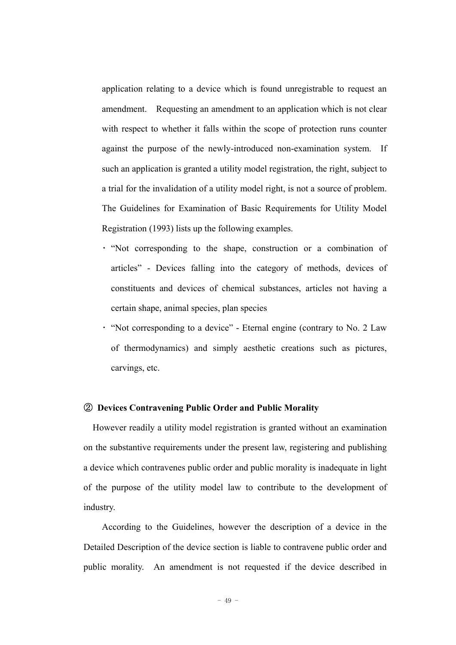application relating to a device which is found unregistrable to request an amendment. Requesting an amendment to an application which is not clear with respect to whether it falls within the scope of protection runs counter against the purpose of the newly-introduced non-examination system. If such an application is granted a utility model registration, the right, subject to a trial for the invalidation of a utility model right, is not a source of problem. The Guidelines for Examination of Basic Requirements for Utility Model Registration (1993) lists up the following examples.

- ・ "Not corresponding to the shape, construction or a combination of articles" - Devices falling into the category of methods, devices of constituents and devices of chemical substances, articles not having a certain shape, animal species, plan species
- ・ "Not corresponding to a device" Eternal engine (contrary to No. 2 Law of thermodynamics) and simply aesthetic creations such as pictures, carvings, etc.

#### ② **Devices Contravening Public Order and Public Morality**

However readily a utility model registration is granted without an examination on the substantive requirements under the present law, registering and publishing a device which contravenes public order and public morality is inadequate in light of the purpose of the utility model law to contribute to the development of industry.

According to the Guidelines, however the description of a device in the Detailed Description of the device section is liable to contravene public order and public morality. An amendment is not requested if the device described in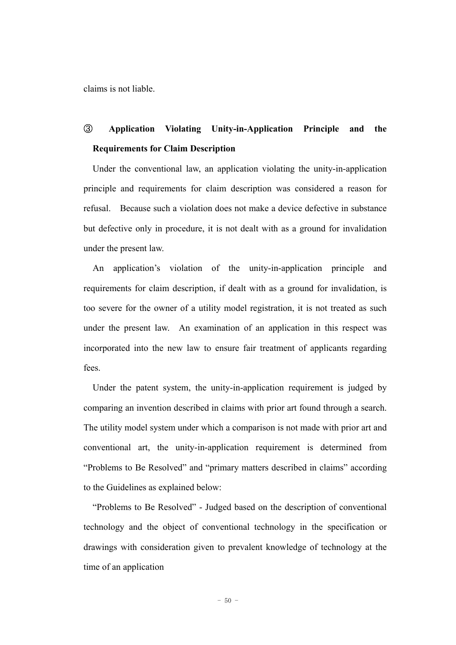claims is not liable.

# ③ **Application Violating Unity-in-Application Principle and the Requirements for Claim Description**

Under the conventional law, an application violating the unity-in-application principle and requirements for claim description was considered a reason for refusal. Because such a violation does not make a device defective in substance but defective only in procedure, it is not dealt with as a ground for invalidation under the present law.

An application's violation of the unity-in-application principle and requirements for claim description, if dealt with as a ground for invalidation, is too severe for the owner of a utility model registration, it is not treated as such under the present law. An examination of an application in this respect was incorporated into the new law to ensure fair treatment of applicants regarding fees.

Under the patent system, the unity-in-application requirement is judged by comparing an invention described in claims with prior art found through a search. The utility model system under which a comparison is not made with prior art and conventional art, the unity-in-application requirement is determined from "Problems to Be Resolved" and "primary matters described in claims" according to the Guidelines as explained below:

"Problems to Be Resolved" - Judged based on the description of conventional technology and the object of conventional technology in the specification or drawings with consideration given to prevalent knowledge of technology at the time of an application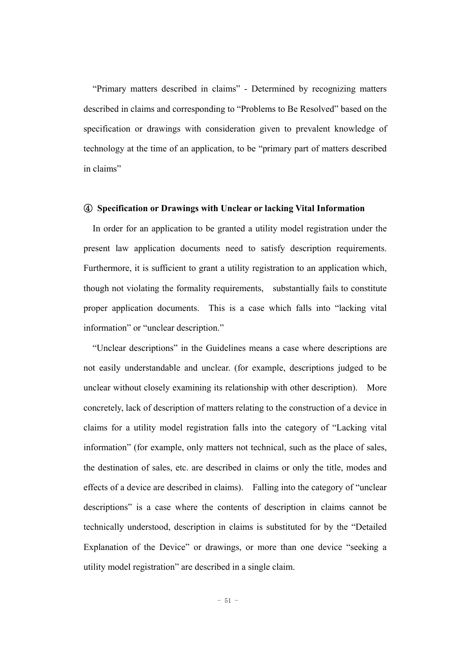"Primary matters described in claims" - Determined by recognizing matters described in claims and corresponding to "Problems to Be Resolved" based on the specification or drawings with consideration given to prevalent knowledge of technology at the time of an application, to be "primary part of matters described in claims"

#### ④ **Specification or Drawings with Unclear or lacking Vital Information**

In order for an application to be granted a utility model registration under the present law application documents need to satisfy description requirements. Furthermore, it is sufficient to grant a utility registration to an application which, though not violating the formality requirements, substantially fails to constitute proper application documents. This is a case which falls into "lacking vital information" or "unclear description."

"Unclear descriptions" in the Guidelines means a case where descriptions are not easily understandable and unclear. (for example, descriptions judged to be unclear without closely examining its relationship with other description). More concretely, lack of description of matters relating to the construction of a device in claims for a utility model registration falls into the category of "Lacking vital information" (for example, only matters not technical, such as the place of sales, the destination of sales, etc. are described in claims or only the title, modes and effects of a device are described in claims). Falling into the category of "unclear descriptions" is a case where the contents of description in claims cannot be technically understood, description in claims is substituted for by the "Detailed Explanation of the Device" or drawings, or more than one device "seeking a utility model registration" are described in a single claim.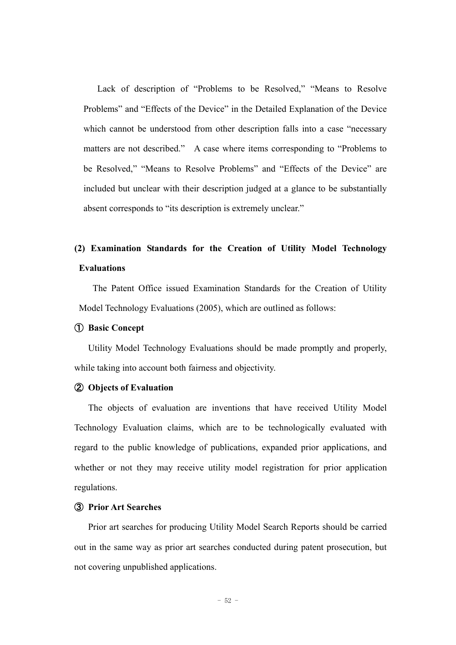Lack of description of "Problems to be Resolved," "Means to Resolve Problems" and "Effects of the Device" in the Detailed Explanation of the Device which cannot be understood from other description falls into a case "necessary matters are not described." A case where items corresponding to "Problems to be Resolved," "Means to Resolve Problems" and "Effects of the Device" are included but unclear with their description judged at a glance to be substantially absent corresponds to "its description is extremely unclear."

## **(2) Examination Standards for the Creation of Utility Model Technology Evaluations**

The Patent Office issued Examination Standards for the Creation of Utility Model Technology Evaluations (2005), which are outlined as follows:

#### ① **Basic Concept**

Utility Model Technology Evaluations should be made promptly and properly, while taking into account both fairness and objectivity.

#### ② **Objects of Evaluation**

The objects of evaluation are inventions that have received Utility Model Technology Evaluation claims, which are to be technologically evaluated with regard to the public knowledge of publications, expanded prior applications, and whether or not they may receive utility model registration for prior application regulations.

#### ③ **Prior Art Searches**

Prior art searches for producing Utility Model Search Reports should be carried out in the same way as prior art searches conducted during patent prosecution, but not covering unpublished applications.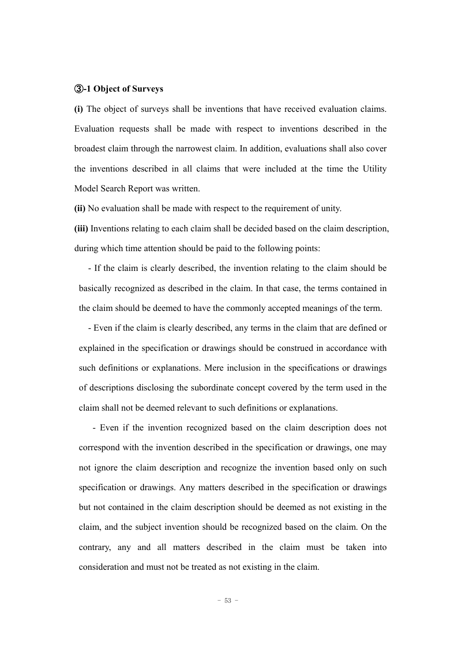#### ③**-1 Object of Surveys**

**(i)** The object of surveys shall be inventions that have received evaluation claims. Evaluation requests shall be made with respect to inventions described in the broadest claim through the narrowest claim. In addition, evaluations shall also cover the inventions described in all claims that were included at the time the Utility Model Search Report was written.

**(ii)** No evaluation shall be made with respect to the requirement of unity.

**(iii)** Inventions relating to each claim shall be decided based on the claim description, during which time attention should be paid to the following points:

- If the claim is clearly described, the invention relating to the claim should be basically recognized as described in the claim. In that case, the terms contained in the claim should be deemed to have the commonly accepted meanings of the term.

- Even if the claim is clearly described, any terms in the claim that are defined or explained in the specification or drawings should be construed in accordance with such definitions or explanations. Mere inclusion in the specifications or drawings of descriptions disclosing the subordinate concept covered by the term used in the claim shall not be deemed relevant to such definitions or explanations.

- Even if the invention recognized based on the claim description does not correspond with the invention described in the specification or drawings, one may not ignore the claim description and recognize the invention based only on such specification or drawings. Any matters described in the specification or drawings but not contained in the claim description should be deemed as not existing in the claim, and the subject invention should be recognized based on the claim. On the contrary, any and all matters described in the claim must be taken into consideration and must not be treated as not existing in the claim.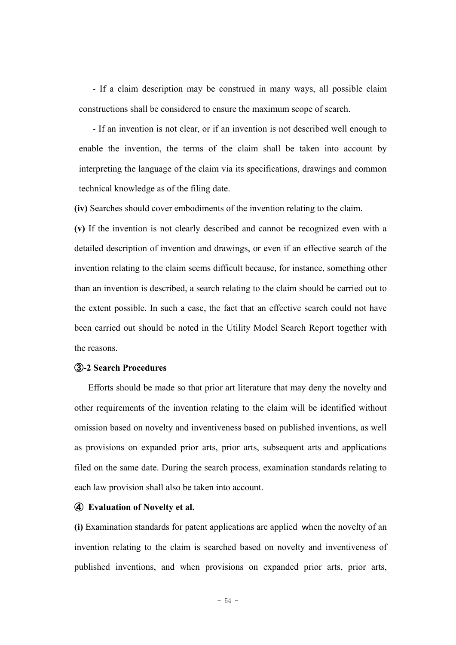- If a claim description may be construed in many ways, all possible claim constructions shall be considered to ensure the maximum scope of search.

- If an invention is not clear, or if an invention is not described well enough to enable the invention, the terms of the claim shall be taken into account by interpreting the language of the claim via its specifications, drawings and common technical knowledge as of the filing date.

**(iv)** Searches should cover embodiments of the invention relating to the claim.

**(v)** If the invention is not clearly described and cannot be recognized even with a detailed description of invention and drawings, or even if an effective search of the invention relating to the claim seems difficult because, for instance, something other than an invention is described, a search relating to the claim should be carried out to the extent possible. In such a case, the fact that an effective search could not have been carried out should be noted in the Utility Model Search Report together with the reasons.

#### ③**-2 Search Procedures**

Efforts should be made so that prior art literature that may deny the novelty and other requirements of the invention relating to the claim will be identified without omission based on novelty and inventiveness based on published inventions, as well as provisions on expanded prior arts, prior arts, subsequent arts and applications filed on the same date. During the search process, examination standards relating to each law provision shall also be taken into account.

#### ④ **Evaluation of Novelty et al.**

**(i)** Examination standards for patent applications are applied when the novelty of an invention relating to the claim is searched based on novelty and inventiveness of published inventions, and when provisions on expanded prior arts, prior arts,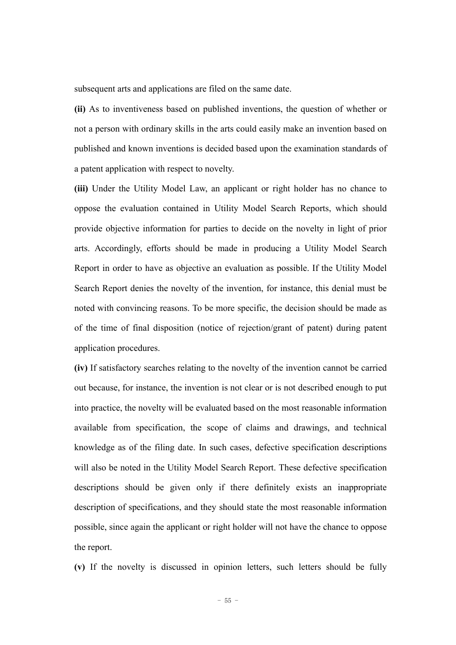subsequent arts and applications are filed on the same date.

**(ii)** As to inventiveness based on published inventions, the question of whether or not a person with ordinary skills in the arts could easily make an invention based on published and known inventions is decided based upon the examination standards of a patent application with respect to novelty.

**(iii)** Under the Utility Model Law, an applicant or right holder has no chance to oppose the evaluation contained in Utility Model Search Reports, which should provide objective information for parties to decide on the novelty in light of prior arts. Accordingly, efforts should be made in producing a Utility Model Search Report in order to have as objective an evaluation as possible. If the Utility Model Search Report denies the novelty of the invention, for instance, this denial must be noted with convincing reasons. To be more specific, the decision should be made as of the time of final disposition (notice of rejection/grant of patent) during patent application procedures.

**(iv)** If satisfactory searches relating to the novelty of the invention cannot be carried out because, for instance, the invention is not clear or is not described enough to put into practice, the novelty will be evaluated based on the most reasonable information available from specification, the scope of claims and drawings, and technical knowledge as of the filing date. In such cases, defective specification descriptions will also be noted in the Utility Model Search Report. These defective specification descriptions should be given only if there definitely exists an inappropriate description of specifications, and they should state the most reasonable information possible, since again the applicant or right holder will not have the chance to oppose the report.

**(v)** If the novelty is discussed in opinion letters, such letters should be fully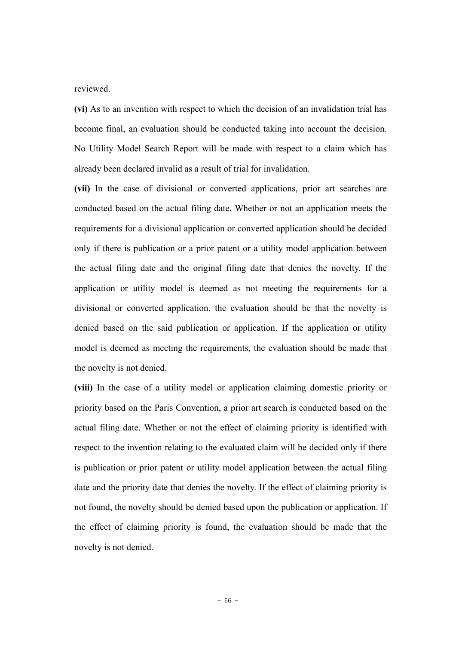reviewed.

**(vi)** As to an invention with respect to which the decision of an invalidation trial has become final, an evaluation should be conducted taking into account the decision. No Utility Model Search Report will be made with respect to a claim which has already been declared invalid as a result of trial for invalidation.

**(vii)** In the case of divisional or converted applications, prior art searches are conducted based on the actual filing date. Whether or not an application meets the requirements for a divisional application or converted application should be decided only if there is publication or a prior patent or a utility model application between the actual filing date and the original filing date that denies the novelty. If the application or utility model is deemed as not meeting the requirements for a divisional or converted application, the evaluation should be that the novelty is denied based on the said publication or application. If the application or utility model is deemed as meeting the requirements, the evaluation should be made that the novelty is not denied.

**(viii)** In the case of a utility model or application claiming domestic priority or priority based on the Paris Convention, a prior art search is conducted based on the actual filing date. Whether or not the effect of claiming priority is identified with respect to the invention relating to the evaluated claim will be decided only if there is publication or prior patent or utility model application between the actual filing date and the priority date that denies the novelty. If the effect of claiming priority is not found, the novelty should be denied based upon the publication or application. If the effect of claiming priority is found, the evaluation should be made that the novelty is not denied.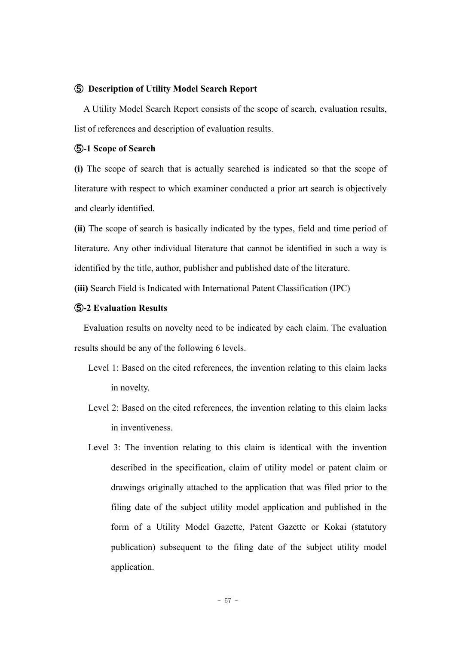#### ⑤ **Description of Utility Model Search Report**

A Utility Model Search Report consists of the scope of search, evaluation results, list of references and description of evaluation results.

#### ⑤**-1 Scope of Search**

**(i)** The scope of search that is actually searched is indicated so that the scope of literature with respect to which examiner conducted a prior art search is objectively and clearly identified.

**(ii)** The scope of search is basically indicated by the types, field and time period of literature. Any other individual literature that cannot be identified in such a way is identified by the title, author, publisher and published date of the literature.

**(iii)** Search Field is Indicated with International Patent Classification (IPC)

#### ⑤**-2 Evaluation Results**

Evaluation results on novelty need to be indicated by each claim. The evaluation results should be any of the following 6 levels.

- Level 1: Based on the cited references, the invention relating to this claim lacks in novelty.
- Level 2: Based on the cited references, the invention relating to this claim lacks in inventiveness.
- Level 3: The invention relating to this claim is identical with the invention described in the specification, claim of utility model or patent claim or drawings originally attached to the application that was filed prior to the filing date of the subject utility model application and published in the form of a Utility Model Gazette, Patent Gazette or Kokai (statutory publication) subsequent to the filing date of the subject utility model application.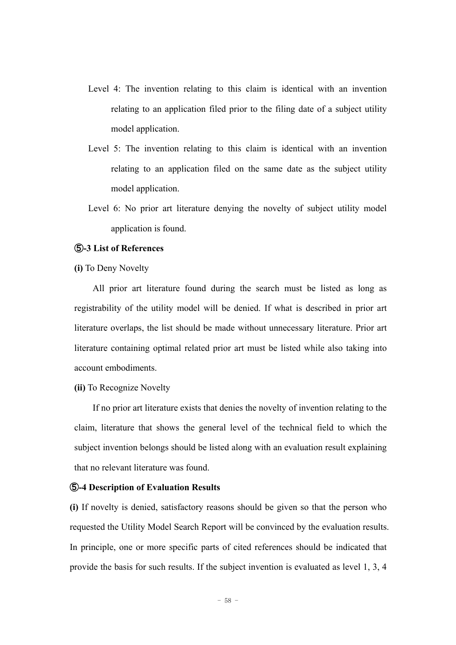- Level 4: The invention relating to this claim is identical with an invention relating to an application filed prior to the filing date of a subject utility model application.
- Level 5: The invention relating to this claim is identical with an invention relating to an application filed on the same date as the subject utility model application.
- Level 6: No prior art literature denying the novelty of subject utility model application is found.

#### ⑤**-3 List of References**

**(i)** To Deny Novelty

All prior art literature found during the search must be listed as long as registrability of the utility model will be denied. If what is described in prior art literature overlaps, the list should be made without unnecessary literature. Prior art literature containing optimal related prior art must be listed while also taking into account embodiments.

**(ii)** To Recognize Novelty

If no prior art literature exists that denies the novelty of invention relating to the claim, literature that shows the general level of the technical field to which the subject invention belongs should be listed along with an evaluation result explaining that no relevant literature was found.

#### ⑤**-4 Description of Evaluation Results**

**(i)** If novelty is denied, satisfactory reasons should be given so that the person who requested the Utility Model Search Report will be convinced by the evaluation results. In principle, one or more specific parts of cited references should be indicated that provide the basis for such results. If the subject invention is evaluated as level 1, 3, 4